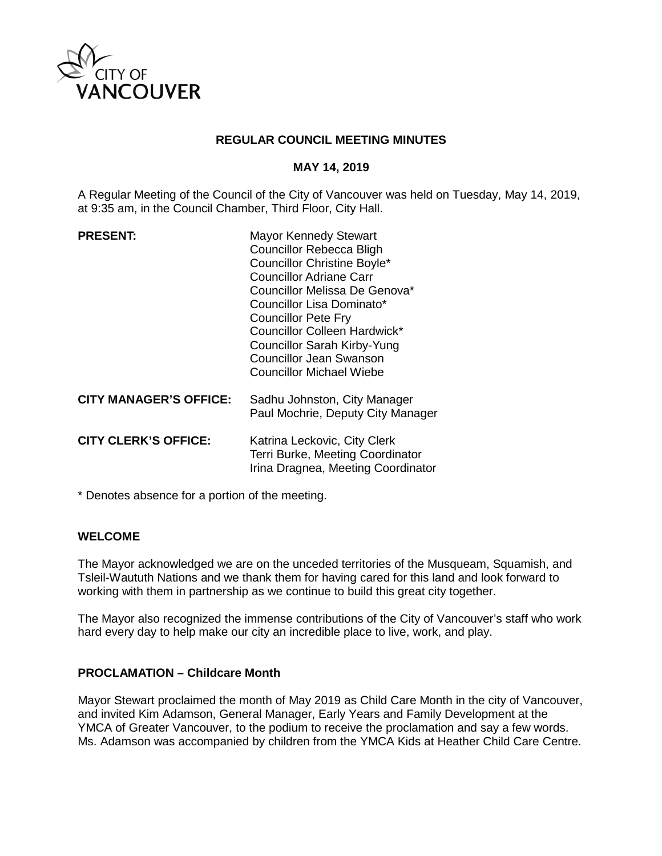

### **REGULAR COUNCIL MEETING MINUTES**

### **MAY 14, 2019**

A Regular Meeting of the Council of the City of Vancouver was held on Tuesday, May 14, 2019, at 9:35 am, in the Council Chamber, Third Floor, City Hall.

| <b>PRESENT:</b>               | <b>Mayor Kennedy Stewart</b><br><b>Councillor Rebecca Bligh</b><br><b>Councillor Christine Boyle*</b><br>Councillor Adriane Carr<br>Councillor Melissa De Genova*<br>Councillor Lisa Dominato*<br><b>Councillor Pete Fry</b><br>Councillor Colleen Hardwick*<br><b>Councillor Sarah Kirby-Yung</b><br>Councillor Jean Swanson<br><b>Councillor Michael Wiebe</b> |
|-------------------------------|------------------------------------------------------------------------------------------------------------------------------------------------------------------------------------------------------------------------------------------------------------------------------------------------------------------------------------------------------------------|
| <b>CITY MANAGER'S OFFICE:</b> | Sadhu Johnston, City Manager<br>Paul Mochrie, Deputy City Manager                                                                                                                                                                                                                                                                                                |
| <b>CITY CLERK'S OFFICE:</b>   | Katrina Leckovic, City Clerk<br>Terri Burke, Meeting Coordinator<br>Irina Dragnea, Meeting Coordinator                                                                                                                                                                                                                                                           |

\* Denotes absence for a portion of the meeting.

#### **WELCOME**

The Mayor acknowledged we are on the unceded territories of the Musqueam, Squamish, and Tsleil-Waututh Nations and we thank them for having cared for this land and look forward to working with them in partnership as we continue to build this great city together.

The Mayor also recognized the immense contributions of the City of Vancouver's staff who work hard every day to help make our city an incredible place to live, work, and play.

#### **PROCLAMATION – Childcare Month**

Mayor Stewart proclaimed the month of May 2019 as Child Care Month in the city of Vancouver, and invited Kim Adamson, General Manager, Early Years and Family Development at the YMCA of Greater Vancouver, to the podium to receive the proclamation and say a few words. Ms. Adamson was accompanied by children from the YMCA Kids at Heather Child Care Centre.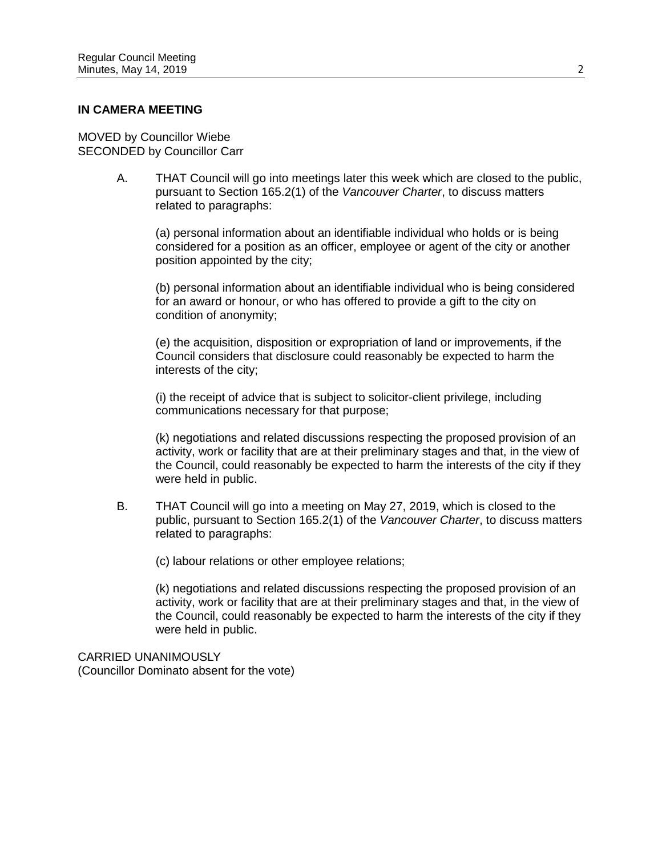#### **IN CAMERA MEETING**

MOVED by Councillor Wiebe SECONDED by Councillor Carr

> A. THAT Council will go into meetings later this week which are closed to the public, pursuant to Section 165.2(1) of the *Vancouver Charter*, to discuss matters related to paragraphs:

(a) personal information about an identifiable individual who holds or is being considered for a position as an officer, employee or agent of the city or another position appointed by the city;

(b) personal information about an identifiable individual who is being considered for an award or honour, or who has offered to provide a gift to the city on condition of anonymity;

(e) the acquisition, disposition or expropriation of land or improvements, if the Council considers that disclosure could reasonably be expected to harm the interests of the city;

(i) the receipt of advice that is subject to solicitor-client privilege, including communications necessary for that purpose;

(k) negotiations and related discussions respecting the proposed provision of an activity, work or facility that are at their preliminary stages and that, in the view of the Council, could reasonably be expected to harm the interests of the city if they were held in public.

B. THAT Council will go into a meeting on May 27, 2019, which is closed to the public, pursuant to Section 165.2(1) of the *Vancouver Charter*, to discuss matters related to paragraphs:

(c) labour relations or other employee relations;

(k) negotiations and related discussions respecting the proposed provision of an activity, work or facility that are at their preliminary stages and that, in the view of the Council, could reasonably be expected to harm the interests of the city if they were held in public.

CARRIED UNANIMOUSLY (Councillor Dominato absent for the vote)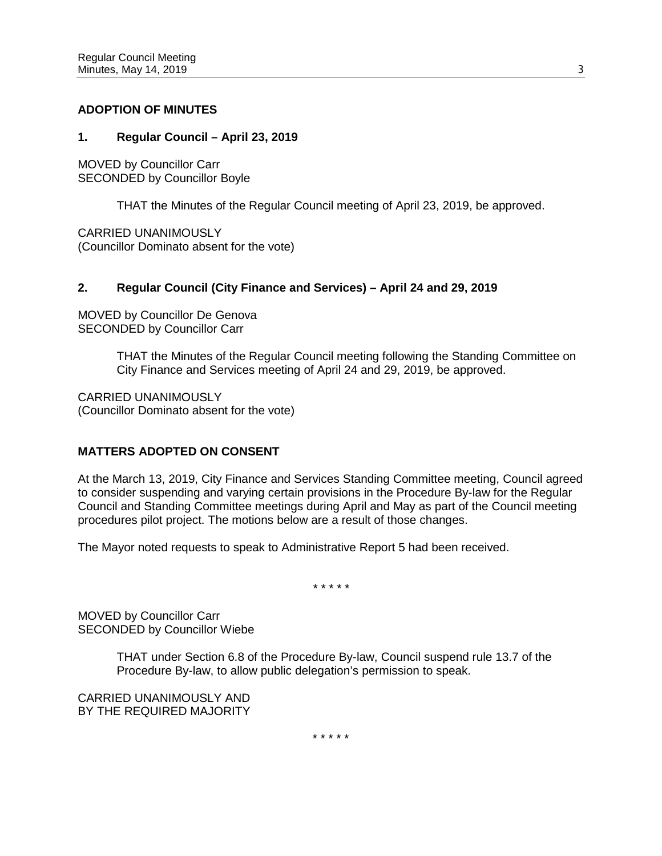### **ADOPTION OF MINUTES**

### **1. Regular Council – April 23, 2019**

MOVED by Councillor Carr SECONDED by Councillor Boyle

THAT the Minutes of the Regular Council meeting of April 23, 2019, be approved.

CARRIED UNANIMOUSLY (Councillor Dominato absent for the vote)

## **2. Regular Council (City Finance and Services) – April 24 and 29, 2019**

MOVED by Councillor De Genova SECONDED by Councillor Carr

> THAT the Minutes of the Regular Council meeting following the Standing Committee on City Finance and Services meeting of April 24 and 29, 2019, be approved.

CARRIED UNANIMOUSLY (Councillor Dominato absent for the vote)

## **MATTERS ADOPTED ON CONSENT**

At the March 13, 2019, City Finance and Services Standing Committee meeting, Council agreed to consider suspending and varying certain provisions in the Procedure By-law for the Regular Council and Standing Committee meetings during April and May as part of the Council meeting procedures pilot project. The motions below are a result of those changes.

The Mayor noted requests to speak to Administrative Report 5 had been received.

*\* \* \* \* \**

MOVED by Councillor Carr SECONDED by Councillor Wiebe

> THAT under Section 6.8 of the Procedure By-law, Council suspend rule 13.7 of the Procedure By-law, to allow public delegation's permission to speak.

CARRIED UNANIMOUSLY AND BY THE REQUIRED MAJORITY

\* \* \* \* \*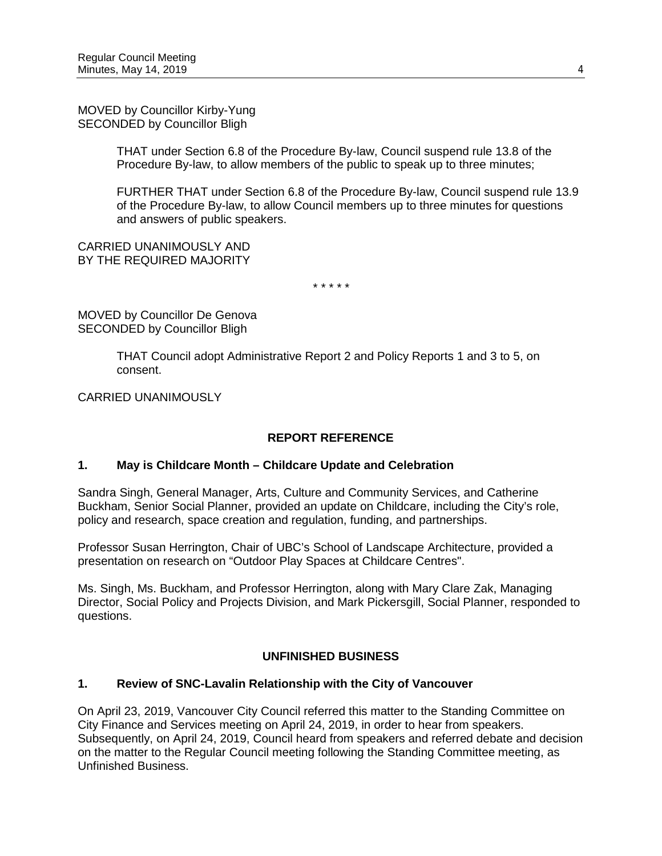MOVED by Councillor Kirby-Yung SECONDED by Councillor Bligh

> THAT under Section 6.8 of the Procedure By-law, Council suspend rule 13.8 of the Procedure By-law, to allow members of the public to speak up to three minutes;

FURTHER THAT under Section 6.8 of the Procedure By-law, Council suspend rule 13.9 of the Procedure By-law, to allow Council members up to three minutes for questions and answers of public speakers.

CARRIED UNANIMOUSLY AND BY THE REQUIRED MAJORITY

*\* \* \* \* \**

MOVED by Councillor De Genova SECONDED by Councillor Bligh

> THAT Council adopt Administrative Report 2 and Policy Reports 1 and 3 to 5, on consent.

CARRIED UNANIMOUSLY

## **REPORT REFERENCE**

## **1. May is Childcare Month – Childcare Update and Celebration**

Sandra Singh, General Manager, Arts, Culture and Community Services, and Catherine Buckham, Senior Social Planner, provided an update on Childcare, including the City's role, policy and research, space creation and regulation, funding, and partnerships.

Professor Susan Herrington, Chair of UBC's School of Landscape Architecture, provided a presentation on research on "Outdoor Play Spaces at Childcare Centres".

Ms. Singh, Ms. Buckham, and Professor Herrington, along with Mary Clare Zak, Managing Director, Social Policy and Projects Division, and Mark Pickersgill, Social Planner, responded to questions.

## **UNFINISHED BUSINESS**

## **1. Review of SNC-Lavalin Relationship with the City of Vancouver**

On April 23, 2019, Vancouver City Council referred this matter to the Standing Committee on City Finance and Services meeting on April 24, 2019, in order to hear from speakers. Subsequently, on April 24, 2019, Council heard from speakers and referred debate and decision on the matter to the Regular Council meeting following the Standing Committee meeting, as Unfinished Business.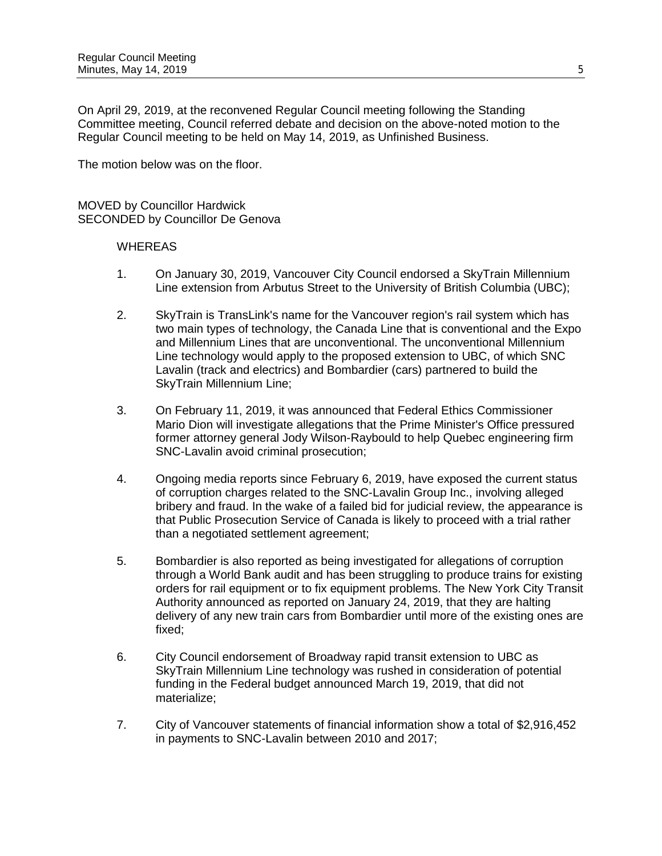On April 29, 2019, at the reconvened Regular Council meeting following the Standing Committee meeting, Council referred debate and decision on the above-noted motion to the Regular Council meeting to be held on May 14, 2019, as Unfinished Business.

The motion below was on the floor.

MOVED by Councillor Hardwick SECONDED by Councillor De Genova

- 1. On January 30, 2019, Vancouver City Council endorsed a SkyTrain Millennium Line extension from Arbutus Street to the University of British Columbia (UBC);
- 2. SkyTrain is TransLink's name for the Vancouver region's rail system which has two main types of technology, the Canada Line that is conventional and the Expo and Millennium Lines that are unconventional. The unconventional Millennium Line technology would apply to the proposed extension to UBC, of which SNC Lavalin (track and electrics) and Bombardier (cars) partnered to build the SkyTrain Millennium Line;
- 3. On February 11, 2019, it was announced that Federal Ethics Commissioner Mario Dion will investigate allegations that the Prime Minister's Office pressured former attorney general Jody Wilson-Raybould to help Quebec engineering firm SNC-Lavalin avoid criminal prosecution;
- 4. Ongoing media reports since February 6, 2019, have exposed the current status of corruption charges related to the SNC-Lavalin Group Inc., involving alleged bribery and fraud. In the wake of a failed bid for judicial review, the appearance is that Public Prosecution Service of Canada is likely to proceed with a trial rather than a negotiated settlement agreement;
- 5. Bombardier is also reported as being investigated for allegations of corruption through a World Bank audit and has been struggling to produce trains for existing orders for rail equipment or to fix equipment problems. The New York City Transit Authority announced as reported on January 24, 2019, that they are halting delivery of any new train cars from Bombardier until more of the existing ones are fixed;
- 6. City Council endorsement of Broadway rapid transit extension to UBC as SkyTrain Millennium Line technology was rushed in consideration of potential funding in the Federal budget announced March 19, 2019, that did not materialize;
- 7. City of Vancouver statements of financial information show a total of \$2,916,452 in payments to SNC-Lavalin between 2010 and 2017;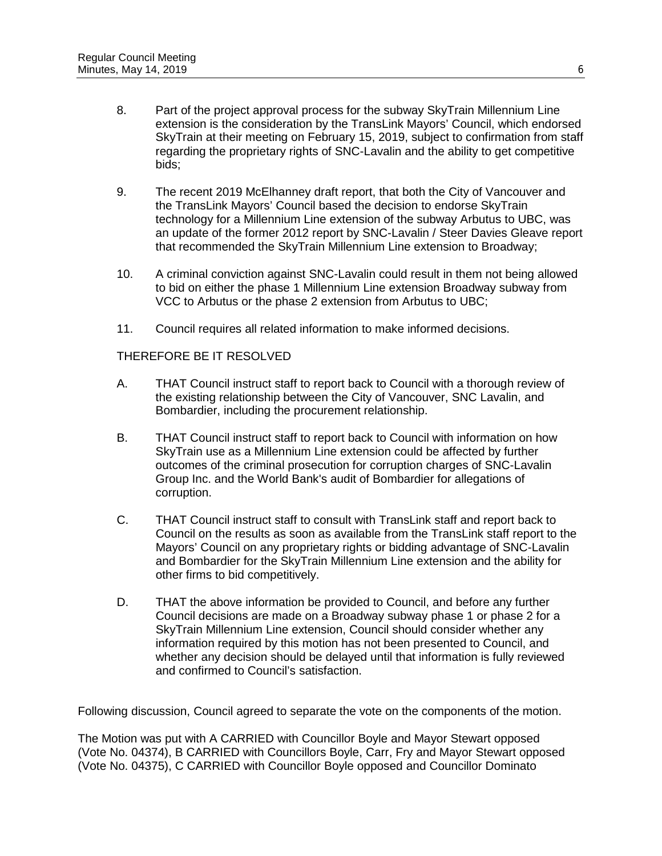- 8. Part of the project approval process for the subway SkyTrain Millennium Line extension is the consideration by the TransLink Mayors' Council, which endorsed SkyTrain at their meeting on February 15, 2019, subject to confirmation from staff regarding the proprietary rights of SNC-Lavalin and the ability to get competitive bids;
- 9. The recent 2019 McElhanney draft report, that both the City of Vancouver and the TransLink Mayors' Council based the decision to endorse SkyTrain technology for a Millennium Line extension of the subway Arbutus to UBC, was an update of the former 2012 report by SNC-Lavalin / Steer Davies Gleave report that recommended the SkyTrain Millennium Line extension to Broadway;
- 10. A criminal conviction against SNC-Lavalin could result in them not being allowed to bid on either the phase 1 Millennium Line extension Broadway subway from VCC to Arbutus or the phase 2 extension from Arbutus to UBC;
- 11. Council requires all related information to make informed decisions.

### THEREFORE BE IT RESOLVED

- A. THAT Council instruct staff to report back to Council with a thorough review of the existing relationship between the City of Vancouver, SNC Lavalin, and Bombardier, including the procurement relationship.
- B. THAT Council instruct staff to report back to Council with information on how SkyTrain use as a Millennium Line extension could be affected by further outcomes of the criminal prosecution for corruption charges of SNC-Lavalin Group Inc. and the World Bank's audit of Bombardier for allegations of corruption.
- C. THAT Council instruct staff to consult with TransLink staff and report back to Council on the results as soon as available from the TransLink staff report to the Mayors' Council on any proprietary rights or bidding advantage of SNC-Lavalin and Bombardier for the SkyTrain Millennium Line extension and the ability for other firms to bid competitively.
- D. THAT the above information be provided to Council, and before any further Council decisions are made on a Broadway subway phase 1 or phase 2 for a SkyTrain Millennium Line extension, Council should consider whether any information required by this motion has not been presented to Council, and whether any decision should be delayed until that information is fully reviewed and confirmed to Council's satisfaction.

Following discussion, Council agreed to separate the vote on the components of the motion.

The Motion was put with A CARRIED with Councillor Boyle and Mayor Stewart opposed (Vote No. 04374), B CARRIED with Councillors Boyle, Carr, Fry and Mayor Stewart opposed (Vote No. 04375), C CARRIED with Councillor Boyle opposed and Councillor Dominato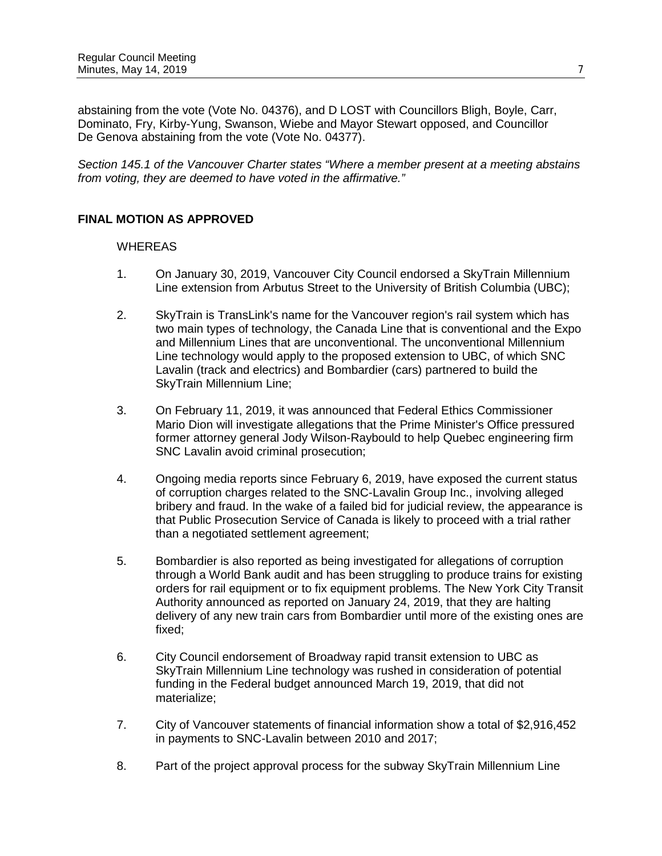abstaining from the vote (Vote No. 04376), and D LOST with Councillors Bligh, Boyle, Carr, Dominato, Fry, Kirby-Yung, Swanson, Wiebe and Mayor Stewart opposed, and Councillor De Genova abstaining from the vote (Vote No. 04377).

*Section 145.1 of the Vancouver Charter states "Where a member present at a meeting abstains from voting, they are deemed to have voted in the affirmative."*

## **FINAL MOTION AS APPROVED**

- 1. On January 30, 2019, Vancouver City Council endorsed a SkyTrain Millennium Line extension from Arbutus Street to the University of British Columbia (UBC);
- 2. SkyTrain is TransLink's name for the Vancouver region's rail system which has two main types of technology, the Canada Line that is conventional and the Expo and Millennium Lines that are unconventional. The unconventional Millennium Line technology would apply to the proposed extension to UBC, of which SNC Lavalin (track and electrics) and Bombardier (cars) partnered to build the SkyTrain Millennium Line;
- 3. On February 11, 2019, it was announced that Federal Ethics Commissioner Mario Dion will investigate allegations that the Prime Minister's Office pressured former attorney general Jody Wilson-Raybould to help Quebec engineering firm SNC Lavalin avoid criminal prosecution;
- 4. Ongoing media reports since February 6, 2019, have exposed the current status of corruption charges related to the SNC-Lavalin Group Inc., involving alleged bribery and fraud. In the wake of a failed bid for judicial review, the appearance is that Public Prosecution Service of Canada is likely to proceed with a trial rather than a negotiated settlement agreement;
- 5. Bombardier is also reported as being investigated for allegations of corruption through a World Bank audit and has been struggling to produce trains for existing orders for rail equipment or to fix equipment problems. The New York City Transit Authority announced as reported on January 24, 2019, that they are halting delivery of any new train cars from Bombardier until more of the existing ones are fixed;
- 6. City Council endorsement of Broadway rapid transit extension to UBC as SkyTrain Millennium Line technology was rushed in consideration of potential funding in the Federal budget announced March 19, 2019, that did not materialize;
- 7. City of Vancouver statements of financial information show a total of \$2,916,452 in payments to SNC-Lavalin between 2010 and 2017;
- 8. Part of the project approval process for the subway SkyTrain Millennium Line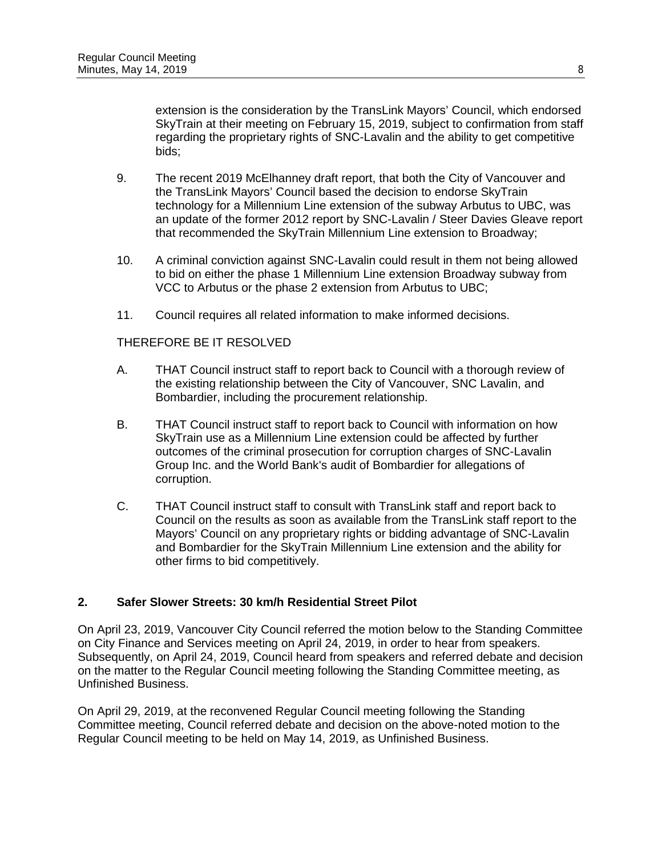extension is the consideration by the TransLink Mayors' Council, which endorsed SkyTrain at their meeting on February 15, 2019, subject to confirmation from staff regarding the proprietary rights of SNC-Lavalin and the ability to get competitive bids;

- 9. The recent 2019 McElhanney draft report, that both the City of Vancouver and the TransLink Mayors' Council based the decision to endorse SkyTrain technology for a Millennium Line extension of the subway Arbutus to UBC, was an update of the former 2012 report by SNC-Lavalin / Steer Davies Gleave report that recommended the SkyTrain Millennium Line extension to Broadway;
- 10. A criminal conviction against SNC-Lavalin could result in them not being allowed to bid on either the phase 1 Millennium Line extension Broadway subway from VCC to Arbutus or the phase 2 extension from Arbutus to UBC;
- 11. Council requires all related information to make informed decisions.

## THEREFORE BE IT RESOLVED

- A. THAT Council instruct staff to report back to Council with a thorough review of the existing relationship between the City of Vancouver, SNC Lavalin, and Bombardier, including the procurement relationship.
- B. THAT Council instruct staff to report back to Council with information on how SkyTrain use as a Millennium Line extension could be affected by further outcomes of the criminal prosecution for corruption charges of SNC-Lavalin Group Inc. and the World Bank's audit of Bombardier for allegations of corruption.
- C. THAT Council instruct staff to consult with TransLink staff and report back to Council on the results as soon as available from the TransLink staff report to the Mayors' Council on any proprietary rights or bidding advantage of SNC-Lavalin and Bombardier for the SkyTrain Millennium Line extension and the ability for other firms to bid competitively.

#### **2. Safer Slower Streets: 30 km/h Residential Street Pilot**

On April 23, 2019, Vancouver City Council referred the motion below to the Standing Committee on City Finance and Services meeting on April 24, 2019, in order to hear from speakers. Subsequently, on April 24, 2019, Council heard from speakers and referred debate and decision on the matter to the Regular Council meeting following the Standing Committee meeting, as Unfinished Business.

On April 29, 2019, at the reconvened Regular Council meeting following the Standing Committee meeting, Council referred debate and decision on the above-noted motion to the Regular Council meeting to be held on May 14, 2019, as Unfinished Business.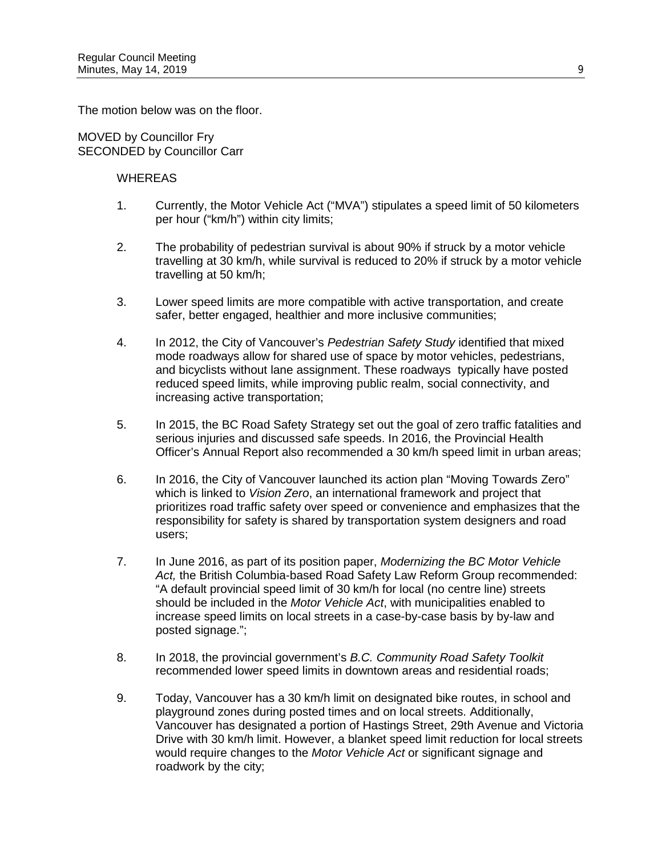The motion below was on the floor.

MOVED by Councillor Fry SECONDED by Councillor Carr

- 1. Currently, the Motor Vehicle Act ("MVA") stipulates a speed limit of 50 kilometers per hour ("km/h") within city limits;
- 2. The probability of pedestrian survival is about 90% if struck by a motor vehicle travelling at 30 km/h, while survival is reduced to 20% if struck by a motor vehicle travelling at 50 km/h;
- 3. Lower speed limits are more compatible with active transportation, and create safer, better engaged, healthier and more inclusive communities;
- 4. In 2012, the City of Vancouver's *Pedestrian Safety Study* identified that mixed mode roadways allow for shared use of space by motor vehicles, pedestrians, and bicyclists without lane assignment. These roadways typically have posted reduced speed limits, while improving public realm, social connectivity, and increasing active transportation;
- 5. In 2015, the BC Road Safety Strategy set out the goal of zero traffic fatalities and serious injuries and discussed safe speeds. In 2016, the Provincial Health Officer's Annual Report also recommended a 30 km/h speed limit in urban areas;
- 6. In 2016, the City of Vancouver launched its action plan "Moving Towards Zero" which is linked to *Vision Zero*, an international framework and project that prioritizes road traffic safety over speed or convenience and emphasizes that the responsibility for safety is shared by transportation system designers and road users;
- 7. In June 2016, as part of its position paper, *Modernizing the BC Motor Vehicle Act,* the British Columbia-based Road Safety Law Reform Group recommended: "A default provincial speed limit of 30 km/h for local (no centre line) streets should be included in the *Motor Vehicle Act*, with municipalities enabled to increase speed limits on local streets in a case-by-case basis by by-law and posted signage.";
- 8. In 2018, the provincial government's *B.C. Community Road Safety Toolkit* recommended lower speed limits in downtown areas and residential roads;
- 9. Today, Vancouver has a 30 km/h limit on designated bike routes, in school and playground zones during posted times and on local streets. Additionally, Vancouver has designated a portion of Hastings Street, 29th Avenue and Victoria Drive with 30 km/h limit. However, a blanket speed limit reduction for local streets would require changes to the *Motor Vehicle Act* or significant signage and roadwork by the city;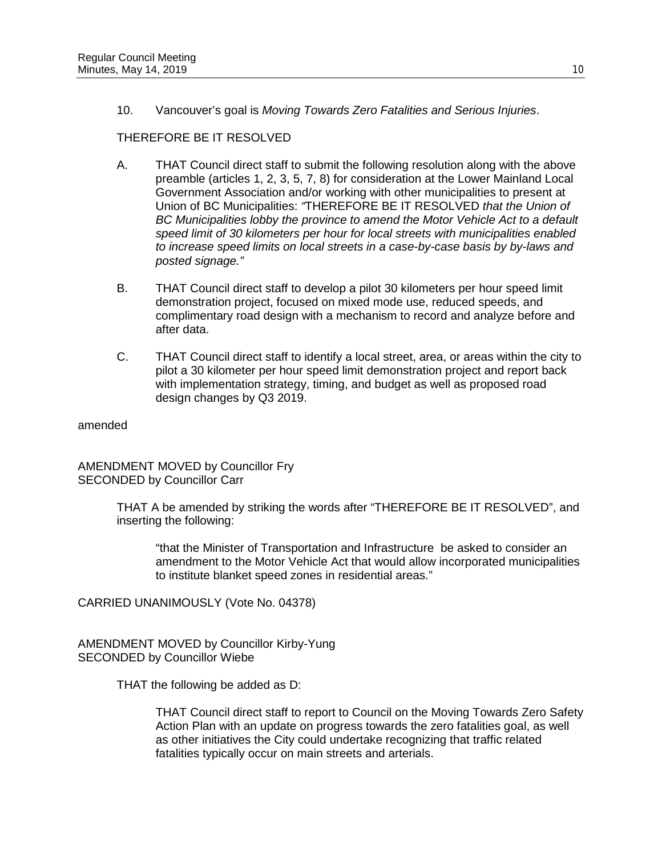10. Vancouver's goal is *Moving Towards Zero Fatalities and Serious Injuries*.

## THEREFORE BE IT RESOLVED

- A. THAT Council direct staff to submit the following resolution along with the above preamble (articles 1, 2, 3, 5, 7, 8) for consideration at the Lower Mainland Local Government Association and/or working with other municipalities to present at Union of BC Municipalities: *"*THEREFORE BE IT RESOLVED *that the Union of BC Municipalities lobby the province to amend the Motor Vehicle Act to a default speed limit of 30 kilometers per hour for local streets with municipalities enabled to increase speed limits on local streets in a case-by-case basis by by-laws and posted signage."*
- B. THAT Council direct staff to develop a pilot 30 kilometers per hour speed limit demonstration project, focused on mixed mode use, reduced speeds, and complimentary road design with a mechanism to record and analyze before and after data.
- C. THAT Council direct staff to identify a local street, area, or areas within the city to pilot a 30 kilometer per hour speed limit demonstration project and report back with implementation strategy, timing, and budget as well as proposed road design changes by Q3 2019.

amended

AMENDMENT MOVED by Councillor Fry SECONDED by Councillor Carr

> THAT A be amended by striking the words after "THEREFORE BE IT RESOLVED", and inserting the following:

"that the Minister of Transportation and Infrastructure be asked to consider an amendment to the Motor Vehicle Act that would allow incorporated municipalities to institute blanket speed zones in residential areas."

CARRIED UNANIMOUSLY (Vote No. 04378)

AMENDMENT MOVED by Councillor Kirby-Yung SECONDED by Councillor Wiebe

THAT the following be added as D:

THAT Council direct staff to report to Council on the Moving Towards Zero Safety Action Plan with an update on progress towards the zero fatalities goal, as well as other initiatives the City could undertake recognizing that traffic related fatalities typically occur on main streets and arterials.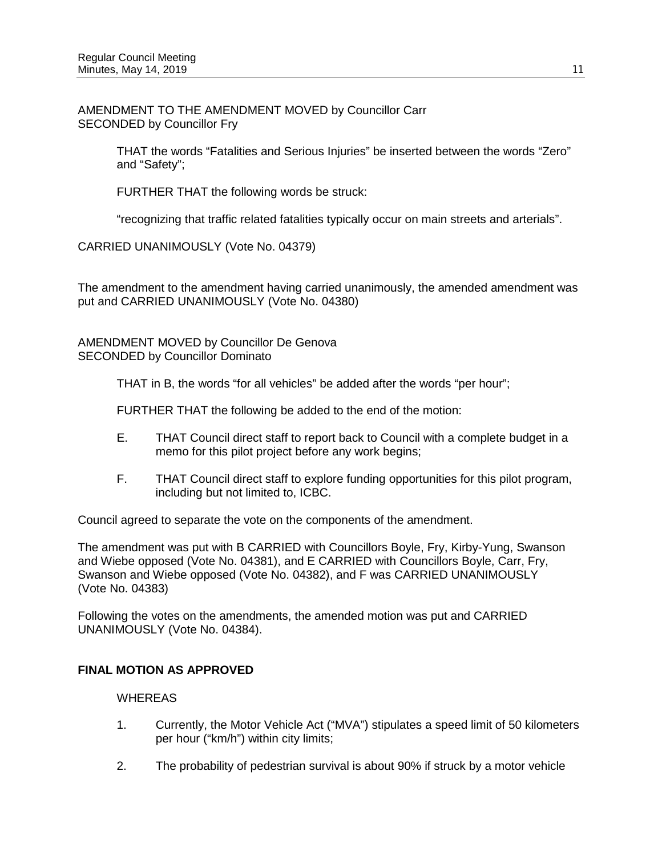AMENDMENT TO THE AMENDMENT MOVED by Councillor Carr SECONDED by Councillor Fry

> THAT the words "Fatalities and Serious Injuries" be inserted between the words "Zero" and "Safety";

FURTHER THAT the following words be struck:

"recognizing that traffic related fatalities typically occur on main streets and arterials".

CARRIED UNANIMOUSLY (Vote No. 04379)

The amendment to the amendment having carried unanimously, the amended amendment was put and CARRIED UNANIMOUSLY (Vote No. 04380)

AMENDMENT MOVED by Councillor De Genova SECONDED by Councillor Dominato

THAT in B, the words "for all vehicles" be added after the words "per hour";

FURTHER THAT the following be added to the end of the motion:

- E. THAT Council direct staff to report back to Council with a complete budget in a memo for this pilot project before any work begins;
- F. THAT Council direct staff to explore funding opportunities for this pilot program, including but not limited to, ICBC.

Council agreed to separate the vote on the components of the amendment.

The amendment was put with B CARRIED with Councillors Boyle, Fry, Kirby-Yung, Swanson and Wiebe opposed (Vote No. 04381), and E CARRIED with Councillors Boyle, Carr, Fry, Swanson and Wiebe opposed (Vote No. 04382), and F was CARRIED UNANIMOUSLY (Vote No. 04383)

Following the votes on the amendments, the amended motion was put and CARRIED UNANIMOUSLY (Vote No. 04384).

#### **FINAL MOTION AS APPROVED**

- 1. Currently, the Motor Vehicle Act ("MVA") stipulates a speed limit of 50 kilometers per hour ("km/h") within city limits;
- 2. The probability of pedestrian survival is about 90% if struck by a motor vehicle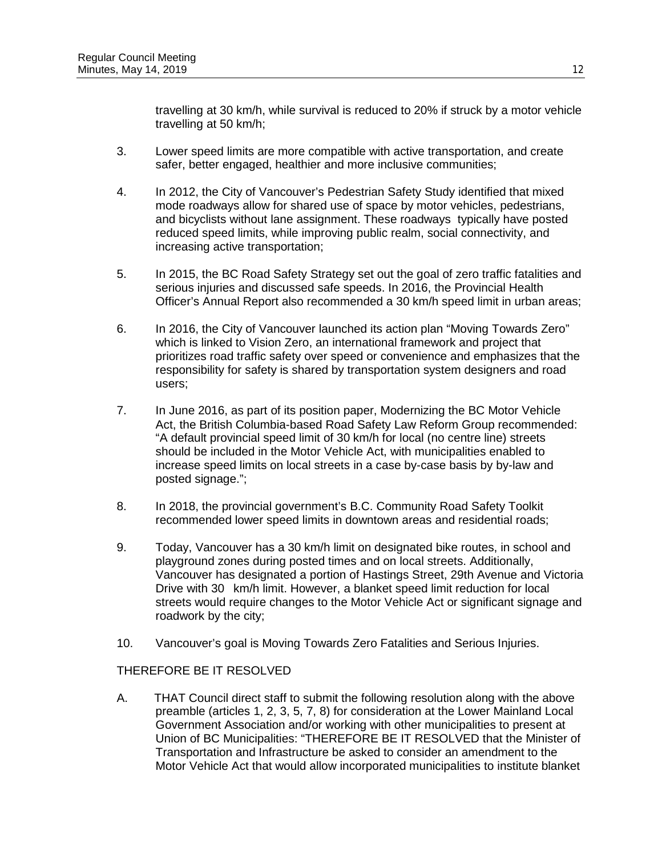travelling at 30 km/h, while survival is reduced to 20% if struck by a motor vehicle travelling at 50 km/h;

- 3. Lower speed limits are more compatible with active transportation, and create safer, better engaged, healthier and more inclusive communities;
- 4. In 2012, the City of Vancouver's Pedestrian Safety Study identified that mixed mode roadways allow for shared use of space by motor vehicles, pedestrians, and bicyclists without lane assignment. These roadways typically have posted reduced speed limits, while improving public realm, social connectivity, and increasing active transportation;
- 5. In 2015, the BC Road Safety Strategy set out the goal of zero traffic fatalities and serious injuries and discussed safe speeds. In 2016, the Provincial Health Officer's Annual Report also recommended a 30 km/h speed limit in urban areas;
- 6. In 2016, the City of Vancouver launched its action plan "Moving Towards Zero" which is linked to Vision Zero, an international framework and project that prioritizes road traffic safety over speed or convenience and emphasizes that the responsibility for safety is shared by transportation system designers and road users;
- 7. In June 2016, as part of its position paper, Modernizing the BC Motor Vehicle Act, the British Columbia-based Road Safety Law Reform Group recommended: "A default provincial speed limit of 30 km/h for local (no centre line) streets should be included in the Motor Vehicle Act, with municipalities enabled to increase speed limits on local streets in a case by-case basis by by-law and posted signage.";
- 8. In 2018, the provincial government's B.C. Community Road Safety Toolkit recommended lower speed limits in downtown areas and residential roads;
- 9. Today, Vancouver has a 30 km/h limit on designated bike routes, in school and playground zones during posted times and on local streets. Additionally, Vancouver has designated a portion of Hastings Street, 29th Avenue and Victoria Drive with 30 km/h limit. However, a blanket speed limit reduction for local streets would require changes to the Motor Vehicle Act or significant signage and roadwork by the city;
- 10. Vancouver's goal is Moving Towards Zero Fatalities and Serious Injuries.

## THEREFORE BE IT RESOLVED

A. THAT Council direct staff to submit the following resolution along with the above preamble (articles 1, 2, 3, 5, 7, 8) for consideration at the Lower Mainland Local Government Association and/or working with other municipalities to present at Union of BC Municipalities: "THEREFORE BE IT RESOLVED that the Minister of Transportation and Infrastructure be asked to consider an amendment to the Motor Vehicle Act that would allow incorporated municipalities to institute blanket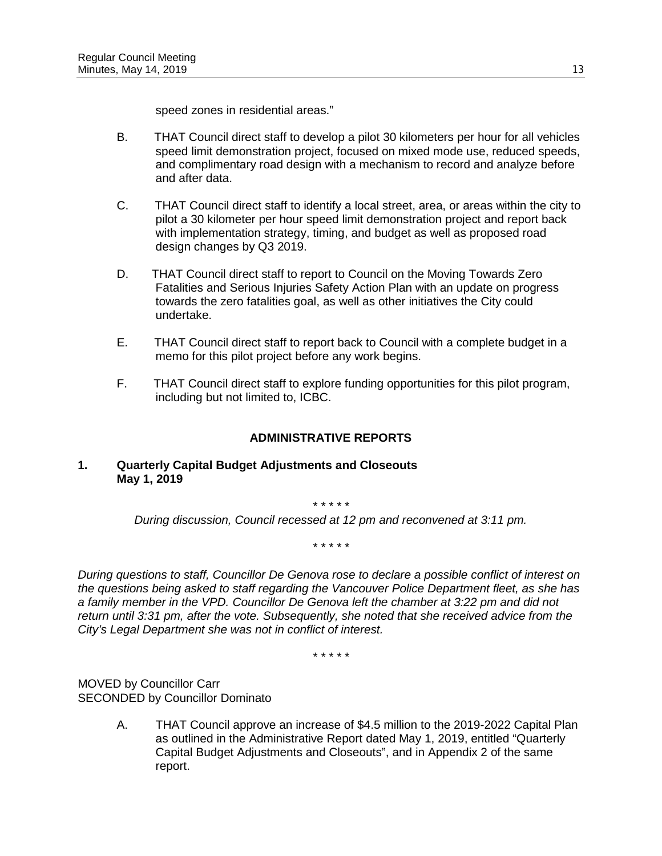speed zones in residential areas."

- B. THAT Council direct staff to develop a pilot 30 kilometers per hour for all vehicles speed limit demonstration project, focused on mixed mode use, reduced speeds, and complimentary road design with a mechanism to record and analyze before and after data.
- C. THAT Council direct staff to identify a local street, area, or areas within the city to pilot a 30 kilometer per hour speed limit demonstration project and report back with implementation strategy, timing, and budget as well as proposed road design changes by Q3 2019.
- D. THAT Council direct staff to report to Council on the Moving Towards Zero Fatalities and Serious Injuries Safety Action Plan with an update on progress towards the zero fatalities goal, as well as other initiatives the City could undertake.
- E. THAT Council direct staff to report back to Council with a complete budget in a memo for this pilot project before any work begins.
- F. THAT Council direct staff to explore funding opportunities for this pilot program, including but not limited to, ICBC.

## **ADMINISTRATIVE REPORTS**

#### **1. Quarterly Capital Budget Adjustments and Closeouts May 1, 2019**

*\* \* \* \* \**

*During discussion, Council recessed at 12 pm and reconvened at 3:11 pm.*

*\* \* \* \* \**

*During questions to staff, Councillor De Genova rose to declare a possible conflict of interest on the questions being asked to staff regarding the Vancouver Police Department fleet, as she has a family member in the VPD. Councillor De Genova left the chamber at 3:22 pm and did not return until 3:31 pm, after the vote. Subsequently, she noted that she received advice from the City's Legal Department she was not in conflict of interest.*

*\* \* \* \* \**

MOVED by Councillor Carr SECONDED by Councillor Dominato

> A. THAT Council approve an increase of \$4.5 million to the 2019-2022 Capital Plan as outlined in the Administrative Report dated May 1, 2019, entitled "Quarterly Capital Budget Adjustments and Closeouts", and in Appendix 2 of the same report.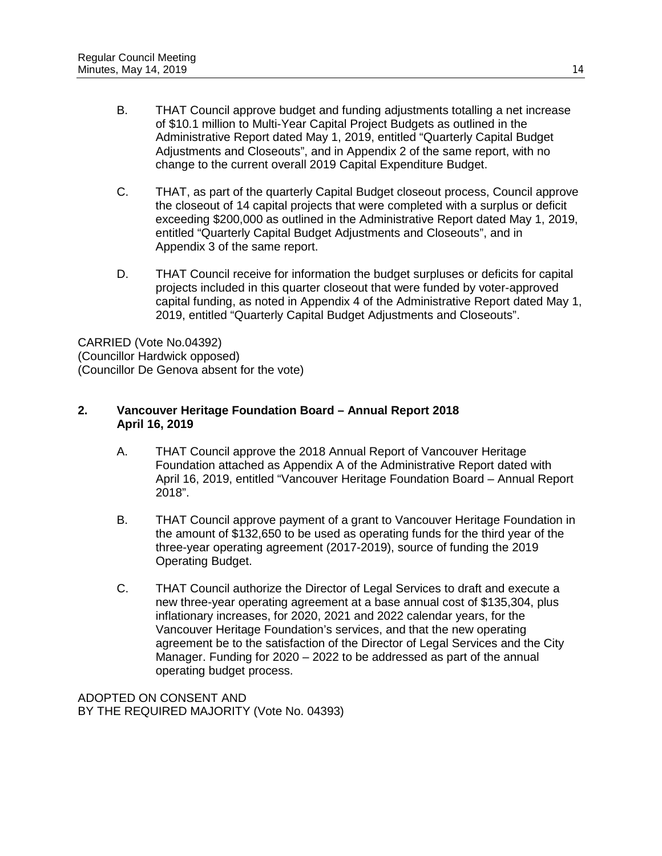- B. THAT Council approve budget and funding adjustments totalling a net increase of \$10.1 million to Multi-Year Capital Project Budgets as outlined in the Administrative Report dated May 1, 2019, entitled "Quarterly Capital Budget Adjustments and Closeouts", and in Appendix 2 of the same report, with no change to the current overall 2019 Capital Expenditure Budget.
- C. THAT, as part of the quarterly Capital Budget closeout process, Council approve the closeout of 14 capital projects that were completed with a surplus or deficit exceeding \$200,000 as outlined in the Administrative Report dated May 1, 2019, entitled "Quarterly Capital Budget Adjustments and Closeouts", and in Appendix 3 of the same report.
- D. THAT Council receive for information the budget surpluses or deficits for capital projects included in this quarter closeout that were funded by voter-approved capital funding, as noted in Appendix 4 of the Administrative Report dated May 1, 2019, entitled "Quarterly Capital Budget Adjustments and Closeouts".

CARRIED (Vote No.04392) (Councillor Hardwick opposed) (Councillor De Genova absent for the vote)

## **2. Vancouver Heritage Foundation Board – Annual Report 2018 April 16, 2019**

- A. THAT Council approve the 2018 Annual Report of Vancouver Heritage Foundation attached as Appendix A of the Administrative Report dated with April 16, 2019, entitled "Vancouver Heritage Foundation Board – Annual Report 2018".
- B. THAT Council approve payment of a grant to Vancouver Heritage Foundation in the amount of \$132,650 to be used as operating funds for the third year of the three-year operating agreement (2017-2019), source of funding the 2019 Operating Budget.
- C. THAT Council authorize the Director of Legal Services to draft and execute a new three-year operating agreement at a base annual cost of \$135,304, plus inflationary increases, for 2020, 2021 and 2022 calendar years, for the Vancouver Heritage Foundation's services, and that the new operating agreement be to the satisfaction of the Director of Legal Services and the City Manager. Funding for 2020 – 2022 to be addressed as part of the annual operating budget process.

ADOPTED ON CONSENT AND BY THE REQUIRED MAJORITY (Vote No. 04393)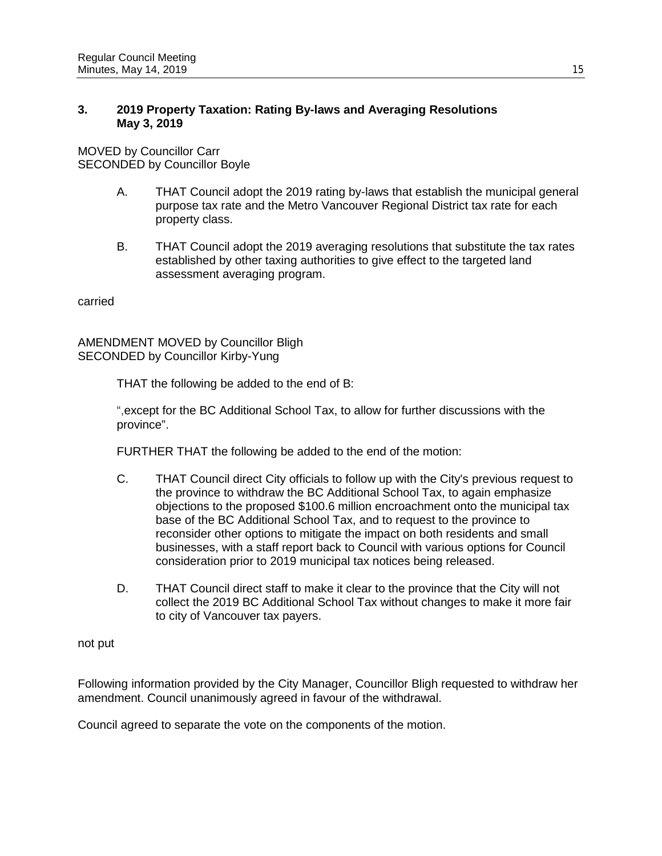### **3. 2019 Property Taxation: Rating By-laws and Averaging Resolutions May 3, 2019**

MOVED by Councillor Carr SECONDED by Councillor Boyle

- A. THAT Council adopt the 2019 rating by-laws that establish the municipal general purpose tax rate and the Metro Vancouver Regional District tax rate for each property class.
- B. THAT Council adopt the 2019 averaging resolutions that substitute the tax rates established by other taxing authorities to give effect to the targeted land assessment averaging program.

carried

AMENDMENT MOVED by Councillor Bligh SECONDED by Councillor Kirby-Yung

THAT the following be added to the end of B:

",except for the BC Additional School Tax, to allow for further discussions with the province".

FURTHER THAT the following be added to the end of the motion:

- C. THAT Council direct City officials to follow up with the City's previous request to the province to withdraw the BC Additional School Tax, to again emphasize objections to the proposed \$100.6 million encroachment onto the municipal tax base of the BC Additional School Tax, and to request to the province to reconsider other options to mitigate the impact on both residents and small businesses, with a staff report back to Council with various options for Council consideration prior to 2019 municipal tax notices being released.
- D. THAT Council direct staff to make it clear to the province that the City will not collect the 2019 BC Additional School Tax without changes to make it more fair to city of Vancouver tax payers.

not put

Following information provided by the City Manager, Councillor Bligh requested to withdraw her amendment. Council unanimously agreed in favour of the withdrawal.

Council agreed to separate the vote on the components of the motion.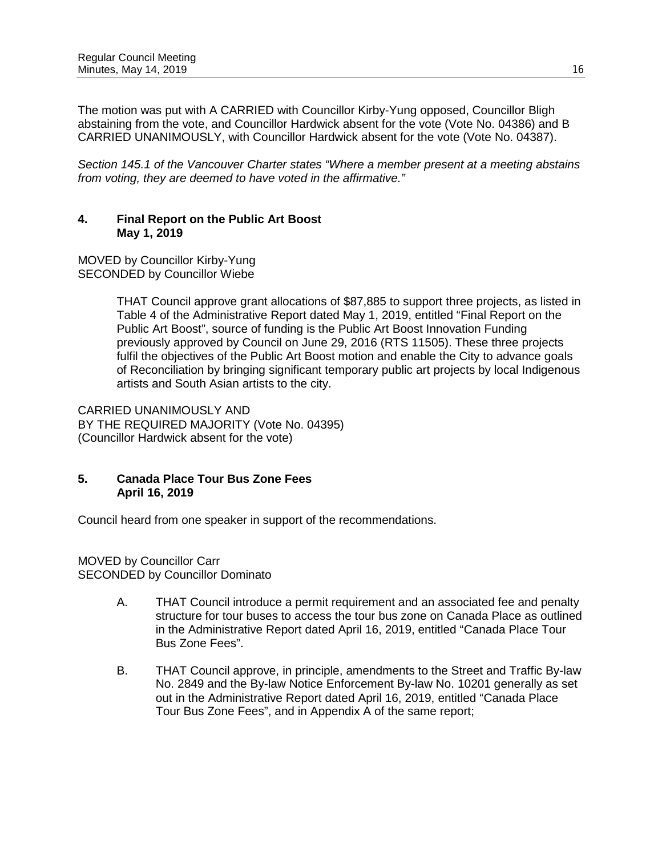The motion was put with A CARRIED with Councillor Kirby-Yung opposed, Councillor Bligh abstaining from the vote, and Councillor Hardwick absent for the vote (Vote No. 04386) and B CARRIED UNANIMOUSLY, with Councillor Hardwick absent for the vote (Vote No. 04387).

*Section 145.1 of the Vancouver Charter states "Where a member present at a meeting abstains from voting, they are deemed to have voted in the affirmative."*

### **4. Final Report on the Public Art Boost May 1, 2019**

MOVED by Councillor Kirby-Yung SECONDED by Councillor Wiebe

> THAT Council approve grant allocations of \$87,885 to support three projects, as listed in Table 4 of the Administrative Report dated May 1, 2019, entitled "Final Report on the Public Art Boost", source of funding is the Public Art Boost Innovation Funding previously approved by Council on June 29, 2016 (RTS 11505). These three projects fulfil the objectives of the Public Art Boost motion and enable the City to advance goals of Reconciliation by bringing significant temporary public art projects by local Indigenous artists and South Asian artists to the city.

CARRIED UNANIMOUSLY AND BY THE REQUIRED MAJORITY (Vote No. 04395) (Councillor Hardwick absent for the vote)

# **5. Canada Place Tour Bus Zone Fees April 16, 2019**

Council heard from one speaker in support of the recommendations.

MOVED by Councillor Carr SECONDED by Councillor Dominato

- A. THAT Council introduce a permit requirement and an associated fee and penalty structure for tour buses to access the tour bus zone on Canada Place as outlined in the Administrative Report dated April 16, 2019, entitled "Canada Place Tour Bus Zone Fees".
- B. THAT Council approve, in principle, amendments to the Street and Traffic By-law No. 2849 and the By-law Notice Enforcement By-law No. 10201 generally as set out in the Administrative Report dated April 16, 2019, entitled "Canada Place Tour Bus Zone Fees", and in Appendix A of the same report;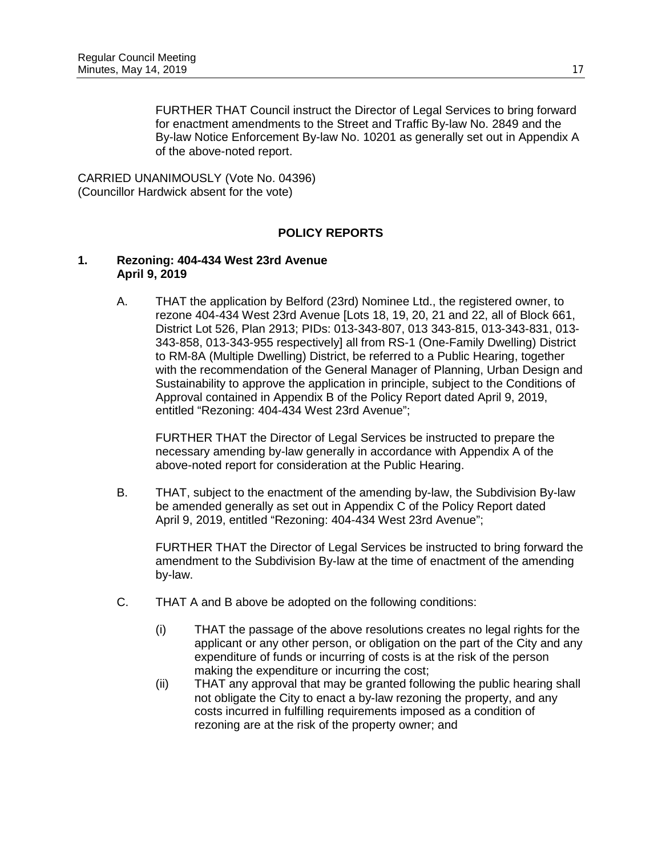FURTHER THAT Council instruct the Director of Legal Services to bring forward for enactment amendments to the Street and Traffic By-law No. 2849 and the By-law Notice Enforcement By-law No. 10201 as generally set out in Appendix A of the above-noted report.

CARRIED UNANIMOUSLY (Vote No. 04396) (Councillor Hardwick absent for the vote)

## **POLICY REPORTS**

#### **1. Rezoning: 404-434 West 23rd Avenue April 9, 2019**

A. THAT the application by Belford (23rd) Nominee Ltd., the registered owner, to rezone 404-434 West 23rd Avenue [Lots 18, 19, 20, 21 and 22, all of Block 661, District Lot 526, Plan 2913; PIDs: 013-343-807, 013 343-815, 013-343-831, 013- 343-858, 013-343-955 respectively] all from RS-1 (One-Family Dwelling) District to RM-8A (Multiple Dwelling) District, be referred to a Public Hearing, together with the recommendation of the General Manager of Planning, Urban Design and Sustainability to approve the application in principle, subject to the Conditions of Approval contained in Appendix B of the Policy Report dated April 9, 2019, entitled "Rezoning: 404-434 West 23rd Avenue";

FURTHER THAT the Director of Legal Services be instructed to prepare the necessary amending by-law generally in accordance with Appendix A of the above-noted report for consideration at the Public Hearing.

B. THAT, subject to the enactment of the amending by-law, the Subdivision By-law be amended generally as set out in Appendix C of the Policy Report dated April 9, 2019, entitled "Rezoning: 404-434 West 23rd Avenue";

FURTHER THAT the Director of Legal Services be instructed to bring forward the amendment to the Subdivision By-law at the time of enactment of the amending by-law.

- C. THAT A and B above be adopted on the following conditions:
	- (i) THAT the passage of the above resolutions creates no legal rights for the applicant or any other person, or obligation on the part of the City and any expenditure of funds or incurring of costs is at the risk of the person making the expenditure or incurring the cost;
	- (ii) THAT any approval that may be granted following the public hearing shall not obligate the City to enact a by-law rezoning the property, and any costs incurred in fulfilling requirements imposed as a condition of rezoning are at the risk of the property owner; and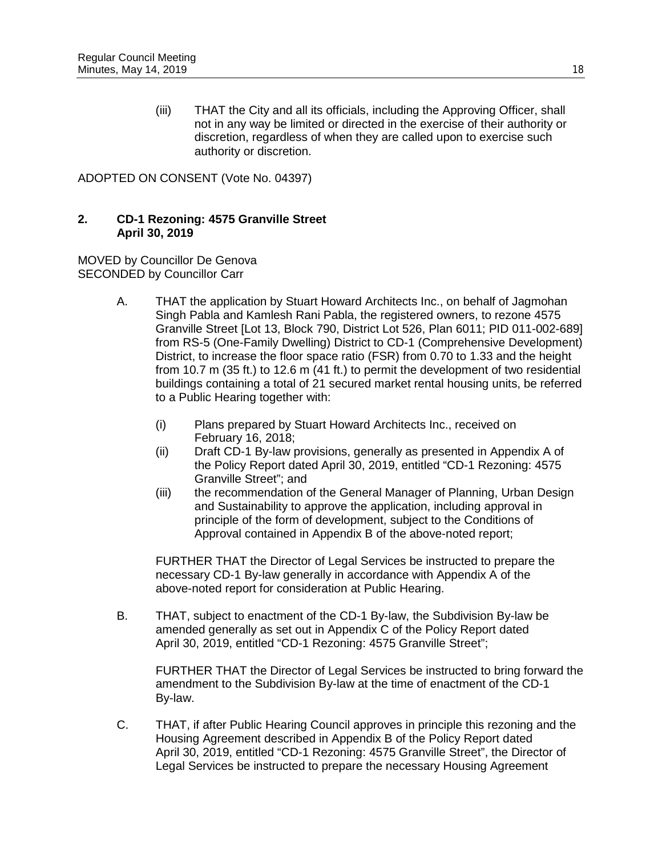(iii) THAT the City and all its officials, including the Approving Officer, shall not in any way be limited or directed in the exercise of their authority or discretion, regardless of when they are called upon to exercise such authority or discretion.

ADOPTED ON CONSENT (Vote No. 04397)

### **2. CD-1 Rezoning: 4575 Granville Street April 30, 2019**

MOVED by Councillor De Genova SECONDED by Councillor Carr

- A. THAT the application by Stuart Howard Architects Inc., on behalf of Jagmohan Singh Pabla and Kamlesh Rani Pabla, the registered owners, to rezone 4575 Granville Street [Lot 13, Block 790, District Lot 526, Plan 6011; PID 011-002-689] from RS-5 (One-Family Dwelling) District to CD-1 (Comprehensive Development) District, to increase the floor space ratio (FSR) from 0.70 to 1.33 and the height from 10.7 m (35 ft.) to 12.6 m (41 ft.) to permit the development of two residential buildings containing a total of 21 secured market rental housing units, be referred to a Public Hearing together with:
	- (i) Plans prepared by Stuart Howard Architects Inc., received on February 16, 2018;
	- (ii) Draft CD-1 By-law provisions, generally as presented in Appendix A of the Policy Report dated April 30, 2019, entitled "CD-1 Rezoning: 4575 Granville Street"; and
	- (iii) the recommendation of the General Manager of Planning, Urban Design and Sustainability to approve the application, including approval in principle of the form of development, subject to the Conditions of Approval contained in Appendix B of the above-noted report;

FURTHER THAT the Director of Legal Services be instructed to prepare the necessary CD-1 By-law generally in accordance with Appendix A of the above-noted report for consideration at Public Hearing.

B. THAT, subject to enactment of the CD-1 By-law, the Subdivision By-law be amended generally as set out in Appendix C of the Policy Report dated April 30, 2019, entitled "CD-1 Rezoning: 4575 Granville Street";

FURTHER THAT the Director of Legal Services be instructed to bring forward the amendment to the Subdivision By-law at the time of enactment of the CD-1 By-law.

C. THAT, if after Public Hearing Council approves in principle this rezoning and the Housing Agreement described in Appendix B of the Policy Report dated April 30, 2019, entitled "CD-1 Rezoning: 4575 Granville Street", the Director of Legal Services be instructed to prepare the necessary Housing Agreement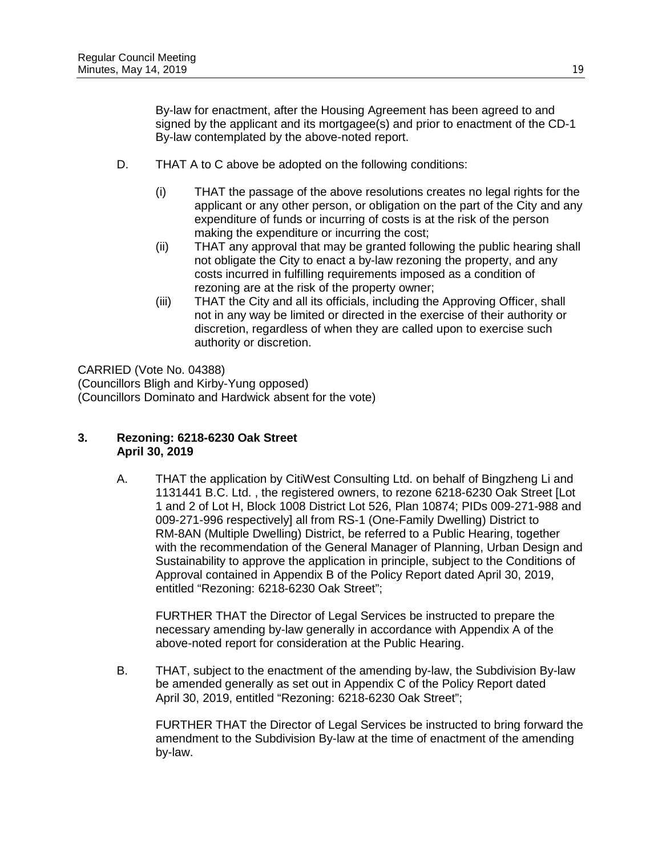By-law for enactment, after the Housing Agreement has been agreed to and signed by the applicant and its mortgagee(s) and prior to enactment of the CD-1 By-law contemplated by the above-noted report.

- D. THAT A to C above be adopted on the following conditions:
	- (i) THAT the passage of the above resolutions creates no legal rights for the applicant or any other person, or obligation on the part of the City and any expenditure of funds or incurring of costs is at the risk of the person making the expenditure or incurring the cost;
	- (ii) THAT any approval that may be granted following the public hearing shall not obligate the City to enact a by-law rezoning the property, and any costs incurred in fulfilling requirements imposed as a condition of rezoning are at the risk of the property owner;
	- (iii) THAT the City and all its officials, including the Approving Officer, shall not in any way be limited or directed in the exercise of their authority or discretion, regardless of when they are called upon to exercise such authority or discretion.

CARRIED (Vote No. 04388) (Councillors Bligh and Kirby-Yung opposed) (Councillors Dominato and Hardwick absent for the vote)

### **3. Rezoning: 6218-6230 Oak Street April 30, 2019**

A. THAT the application by CitiWest Consulting Ltd. on behalf of Bingzheng Li and 1131441 B.C. Ltd. , the registered owners, to rezone 6218-6230 Oak Street [Lot 1 and 2 of Lot H, Block 1008 District Lot 526, Plan 10874; PIDs 009-271-988 and 009-271-996 respectively] all from RS-1 (One-Family Dwelling) District to RM-8AN (Multiple Dwelling) District, be referred to a Public Hearing, together with the recommendation of the General Manager of Planning, Urban Design and Sustainability to approve the application in principle, subject to the Conditions of Approval contained in Appendix B of the Policy Report dated April 30, 2019, entitled "Rezoning: 6218-6230 Oak Street";

FURTHER THAT the Director of Legal Services be instructed to prepare the necessary amending by-law generally in accordance with Appendix A of the above-noted report for consideration at the Public Hearing.

B. THAT, subject to the enactment of the amending by-law, the Subdivision By-law be amended generally as set out in Appendix C of the Policy Report dated April 30, 2019, entitled "Rezoning: 6218-6230 Oak Street";

FURTHER THAT the Director of Legal Services be instructed to bring forward the amendment to the Subdivision By-law at the time of enactment of the amending by-law.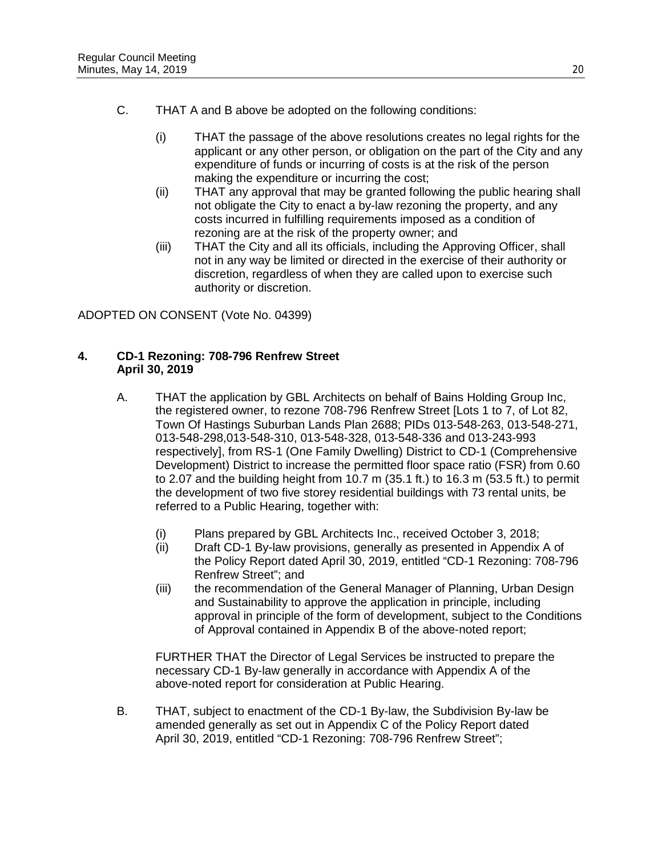- C. THAT A and B above be adopted on the following conditions:
	- (i) THAT the passage of the above resolutions creates no legal rights for the applicant or any other person, or obligation on the part of the City and any expenditure of funds or incurring of costs is at the risk of the person making the expenditure or incurring the cost;
	- (ii) THAT any approval that may be granted following the public hearing shall not obligate the City to enact a by-law rezoning the property, and any costs incurred in fulfilling requirements imposed as a condition of rezoning are at the risk of the property owner; and
	- (iii) THAT the City and all its officials, including the Approving Officer, shall not in any way be limited or directed in the exercise of their authority or discretion, regardless of when they are called upon to exercise such authority or discretion.

ADOPTED ON CONSENT (Vote No. 04399)

## **4. CD-1 Rezoning: 708-796 Renfrew Street April 30, 2019**

- A. THAT the application by GBL Architects on behalf of Bains Holding Group Inc, the registered owner, to rezone 708-796 Renfrew Street [Lots 1 to 7, of Lot 82, Town Of Hastings Suburban Lands Plan 2688; PIDs 013-548-263, 013-548-271, 013-548-298,013-548-310, 013-548-328, 013-548-336 and 013-243-993 respectively], from RS-1 (One Family Dwelling) District to CD-1 (Comprehensive Development) District to increase the permitted floor space ratio (FSR) from 0.60 to 2.07 and the building height from 10.7 m (35.1 ft.) to 16.3 m (53.5 ft.) to permit the development of two five storey residential buildings with 73 rental units, be referred to a Public Hearing, together with:
	- (i) Plans prepared by GBL Architects Inc., received October 3, 2018;<br>(ii) Draft CD-1 By-law provisions, generally as presented in Appendix
	- Draft CD-1 By-law provisions, generally as presented in Appendix A of the Policy Report dated April 30, 2019, entitled "CD-1 Rezoning: 708-796 Renfrew Street"; and
	- (iii) the recommendation of the General Manager of Planning, Urban Design and Sustainability to approve the application in principle, including approval in principle of the form of development, subject to the Conditions of Approval contained in Appendix B of the above-noted report;

FURTHER THAT the Director of Legal Services be instructed to prepare the necessary CD-1 By-law generally in accordance with Appendix A of the above-noted report for consideration at Public Hearing.

B. THAT, subject to enactment of the CD-1 By-law, the Subdivision By-law be amended generally as set out in Appendix C of the Policy Report dated April 30, 2019, entitled "CD-1 Rezoning: 708-796 Renfrew Street";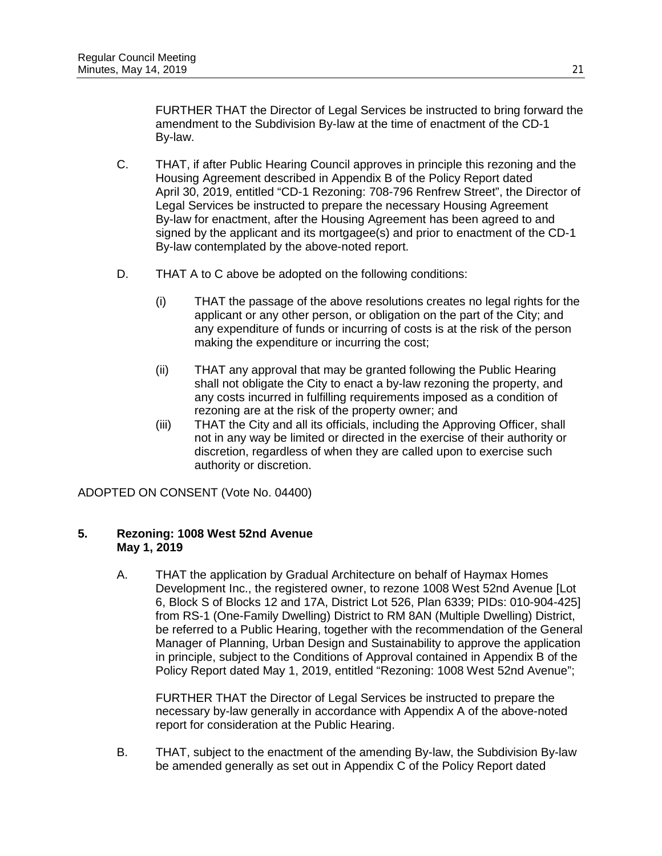FURTHER THAT the Director of Legal Services be instructed to bring forward the amendment to the Subdivision By-law at the time of enactment of the CD-1 By-law.

- C. THAT, if after Public Hearing Council approves in principle this rezoning and the Housing Agreement described in Appendix B of the Policy Report dated April 30, 2019, entitled "CD-1 Rezoning: 708-796 Renfrew Street", the Director of Legal Services be instructed to prepare the necessary Housing Agreement By-law for enactment, after the Housing Agreement has been agreed to and signed by the applicant and its mortgagee(s) and prior to enactment of the CD-1 By-law contemplated by the above-noted report.
- D. THAT A to C above be adopted on the following conditions:
	- (i) THAT the passage of the above resolutions creates no legal rights for the applicant or any other person, or obligation on the part of the City; and any expenditure of funds or incurring of costs is at the risk of the person making the expenditure or incurring the cost;
	- (ii) THAT any approval that may be granted following the Public Hearing shall not obligate the City to enact a by-law rezoning the property, and any costs incurred in fulfilling requirements imposed as a condition of rezoning are at the risk of the property owner; and
	- (iii) THAT the City and all its officials, including the Approving Officer, shall not in any way be limited or directed in the exercise of their authority or discretion, regardless of when they are called upon to exercise such authority or discretion.

ADOPTED ON CONSENT (Vote No. 04400)

### **5. Rezoning: 1008 West 52nd Avenue May 1, 2019**

A. THAT the application by Gradual Architecture on behalf of Haymax Homes Development Inc., the registered owner, to rezone 1008 West 52nd Avenue [Lot 6, Block S of Blocks 12 and 17A, District Lot 526, Plan 6339; PIDs: 010-904-425] from RS-1 (One-Family Dwelling) District to RM 8AN (Multiple Dwelling) District, be referred to a Public Hearing, together with the recommendation of the General Manager of Planning, Urban Design and Sustainability to approve the application in principle, subject to the Conditions of Approval contained in Appendix B of the Policy Report dated May 1, 2019, entitled "Rezoning: 1008 West 52nd Avenue";

FURTHER THAT the Director of Legal Services be instructed to prepare the necessary by-law generally in accordance with Appendix A of the above-noted report for consideration at the Public Hearing.

B. THAT, subject to the enactment of the amending By-law, the Subdivision By-law be amended generally as set out in Appendix C of the Policy Report dated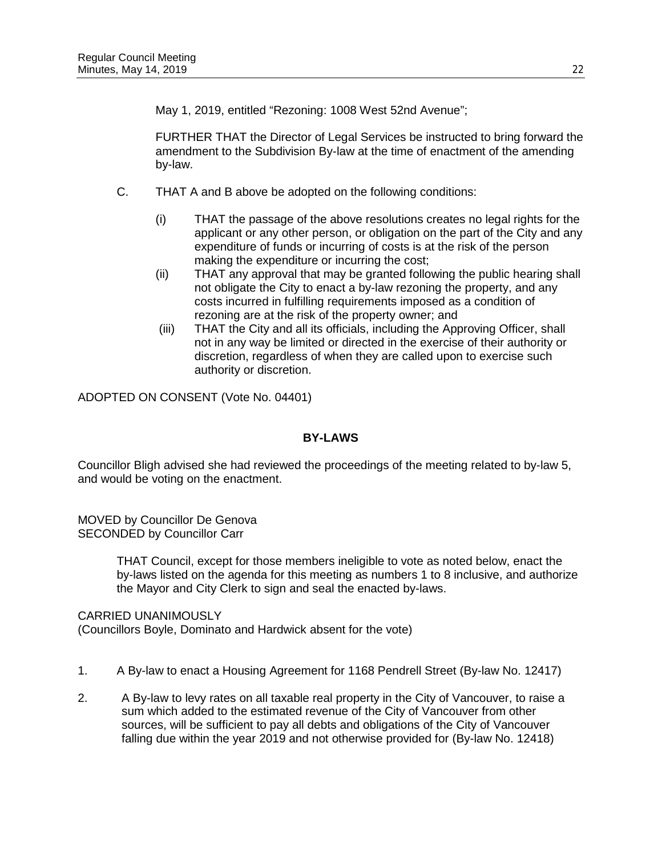May 1, 2019, entitled "Rezoning: 1008 West 52nd Avenue";

FURTHER THAT the Director of Legal Services be instructed to bring forward the amendment to the Subdivision By-law at the time of enactment of the amending by-law.

- C. THAT A and B above be adopted on the following conditions:
	- (i) THAT the passage of the above resolutions creates no legal rights for the applicant or any other person, or obligation on the part of the City and any expenditure of funds or incurring of costs is at the risk of the person making the expenditure or incurring the cost;
	- (ii) THAT any approval that may be granted following the public hearing shall not obligate the City to enact a by-law rezoning the property, and any costs incurred in fulfilling requirements imposed as a condition of rezoning are at the risk of the property owner; and
	- (iii) THAT the City and all its officials, including the Approving Officer, shall not in any way be limited or directed in the exercise of their authority or discretion, regardless of when they are called upon to exercise such authority or discretion.

ADOPTED ON CONSENT (Vote No. 04401)

## **BY-LAWS**

Councillor Bligh advised she had reviewed the proceedings of the meeting related to by-law 5, and would be voting on the enactment.

MOVED by Councillor De Genova SECONDED by Councillor Carr

> THAT Council, except for those members ineligible to vote as noted below, enact the by-laws listed on the agenda for this meeting as numbers 1 to 8 inclusive, and authorize the Mayor and City Clerk to sign and seal the enacted by-laws.

#### CARRIED UNANIMOUSLY

(Councillors Boyle, Dominato and Hardwick absent for the vote)

- 1. A By-law to enact a Housing Agreement for 1168 Pendrell Street (By-law No. 12417)
- 2. A By-law to levy rates on all taxable real property in the City of Vancouver, to raise a sum which added to the estimated revenue of the City of Vancouver from other sources, will be sufficient to pay all debts and obligations of the City of Vancouver falling due within the year 2019 and not otherwise provided for (By-law No. 12418)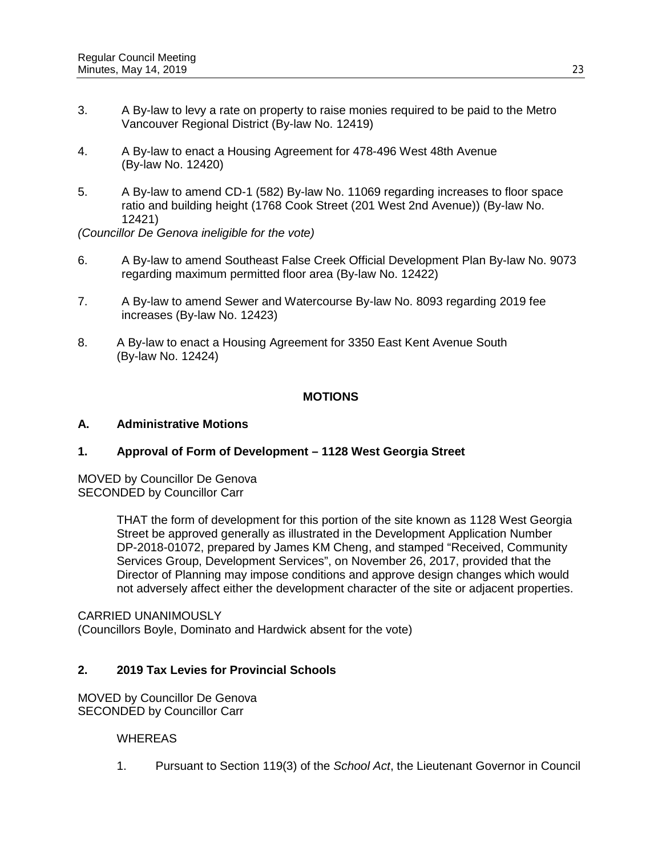- 3. A By-law to levy a rate on property to raise monies required to be paid to the Metro Vancouver Regional District (By-law No. 12419)
- 4. A By-law to enact a Housing Agreement for 478-496 West 48th Avenue (By-law No. 12420)
- 5. A By-law to amend CD-1 (582) By-law No. 11069 regarding increases to floor space ratio and building height (1768 Cook Street (201 West 2nd Avenue)) (By-law No. 12421)

*(Councillor De Genova ineligible for the vote)*

- 6. A By-law to amend Southeast False Creek Official Development Plan By-law No. 9073 regarding maximum permitted floor area (By-law No. 12422)
- 7. A By-law to amend Sewer and Watercourse By-law No. 8093 regarding 2019 fee increases (By-law No. 12423)
- 8. A By-law to enact a Housing Agreement for 3350 East Kent Avenue South (By-law No. 12424)

#### **MOTIONS**

#### **A. Administrative Motions**

#### **1. Approval of Form of Development – 1128 West Georgia Street**

MOVED by Councillor De Genova SECONDED by Councillor Carr

> THAT the form of development for this portion of the site known as 1128 West Georgia Street be approved generally as illustrated in the Development Application Number DP-2018-01072, prepared by James KM Cheng, and stamped "Received, Community Services Group, Development Services", on November 26, 2017, provided that the Director of Planning may impose conditions and approve design changes which would not adversely affect either the development character of the site or adjacent properties.

CARRIED UNANIMOUSLY

(Councillors Boyle, Dominato and Hardwick absent for the vote)

#### **2. 2019 Tax Levies for Provincial Schools**

MOVED by Councillor De Genova SECONDED by Councillor Carr

#### **WHEREAS**

1. Pursuant to Section 119(3) of the *School Act*, the Lieutenant Governor in Council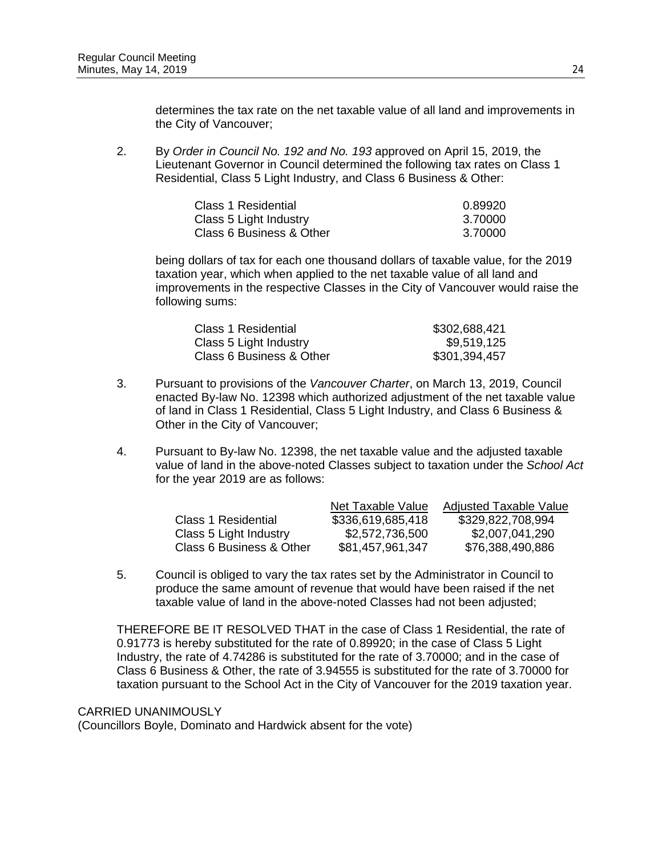determines the tax rate on the net taxable value of all land and improvements in the City of Vancouver;

2. By *Order in Council No. 192 and No. 193* approved on April 15, 2019, the Lieutenant Governor in Council determined the following tax rates on Class 1 Residential, Class 5 Light Industry, and Class 6 Business & Other:

| Class 1 Residential      | 0.89920 |
|--------------------------|---------|
| Class 5 Light Industry   | 3.70000 |
| Class 6 Business & Other | 3.70000 |

being dollars of tax for each one thousand dollars of taxable value, for the 2019 taxation year, which when applied to the net taxable value of all land and improvements in the respective Classes in the City of Vancouver would raise the following sums:

| Class 1 Residential      | \$302,688,421 |
|--------------------------|---------------|
| Class 5 Light Industry   | \$9,519,125   |
| Class 6 Business & Other | \$301,394,457 |

- 3. Pursuant to provisions of the *Vancouver Charter*, on March 13, 2019, Council enacted By-law No. 12398 which authorized adjustment of the net taxable value of land in Class 1 Residential, Class 5 Light Industry, and Class 6 Business & Other in the City of Vancouver;
- 4. Pursuant to By-law No. 12398, the net taxable value and the adjusted taxable value of land in the above-noted Classes subject to taxation under the *School Act* for the year 2019 are as follows:

|                          | Net Taxable Value | <b>Adjusted Taxable Value</b> |
|--------------------------|-------------------|-------------------------------|
| Class 1 Residential      | \$336,619,685,418 | \$329,822,708,994             |
| Class 5 Light Industry   | \$2,572,736,500   | \$2,007,041,290               |
| Class 6 Business & Other | \$81,457,961,347  | \$76,388,490,886              |

5. Council is obliged to vary the tax rates set by the Administrator in Council to produce the same amount of revenue that would have been raised if the net taxable value of land in the above-noted Classes had not been adjusted;

THEREFORE BE IT RESOLVED THAT in the case of Class 1 Residential, the rate of 0.91773 is hereby substituted for the rate of 0.89920; in the case of Class 5 Light Industry, the rate of 4.74286 is substituted for the rate of 3.70000; and in the case of Class 6 Business & Other, the rate of 3.94555 is substituted for the rate of 3.70000 for taxation pursuant to the School Act in the City of Vancouver for the 2019 taxation year.

#### CARRIED UNANIMOUSLY

(Councillors Boyle, Dominato and Hardwick absent for the vote)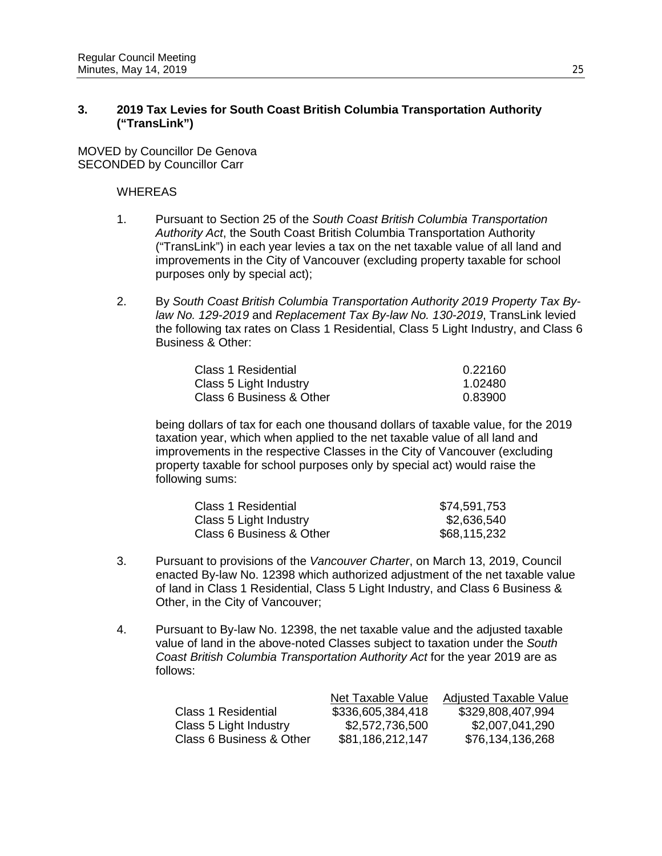### **3. 2019 Tax Levies for South Coast British Columbia Transportation Authority ("TransLink")**

MOVED by Councillor De Genova SECONDED by Councillor Carr

#### WHEREAS

- 1. Pursuant to Section 25 of the *South Coast British Columbia Transportation Authority Act*, the South Coast British Columbia Transportation Authority ("TransLink") in each year levies a tax on the net taxable value of all land and improvements in the City of Vancouver (excluding property taxable for school purposes only by special act);
- 2. By *South Coast British Columbia Transportation Authority 2019 Property Tax Bylaw No. 129-2019* and *Replacement Tax By-law No. 130-2019*, TransLink levied the following tax rates on Class 1 Residential, Class 5 Light Industry, and Class 6 Business & Other:

| Class 1 Residential      | 0.22160 |
|--------------------------|---------|
| Class 5 Light Industry   | 1.02480 |
| Class 6 Business & Other | 0.83900 |

being dollars of tax for each one thousand dollars of taxable value, for the 2019 taxation year, which when applied to the net taxable value of all land and improvements in the respective Classes in the City of Vancouver (excluding property taxable for school purposes only by special act) would raise the following sums:

| \$74,591,753 |
|--------------|
| \$2,636,540  |
| \$68,115,232 |
|              |

- 3. Pursuant to provisions of the *Vancouver Charter*, on March 13, 2019, Council enacted By-law No. 12398 which authorized adjustment of the net taxable value of land in Class 1 Residential, Class 5 Light Industry, and Class 6 Business & Other, in the City of Vancouver;
- 4. Pursuant to By-law No. 12398, the net taxable value and the adjusted taxable value of land in the above-noted Classes subject to taxation under the *South Coast British Columbia Transportation Authority Act* for the year 2019 are as follows:

|                          | Net Taxable Value | <b>Adjusted Taxable Value</b> |
|--------------------------|-------------------|-------------------------------|
| Class 1 Residential      | \$336,605,384,418 | \$329,808,407,994             |
| Class 5 Light Industry   | \$2,572,736,500   | \$2,007,041,290               |
| Class 6 Business & Other | \$81,186,212,147  | \$76,134,136,268              |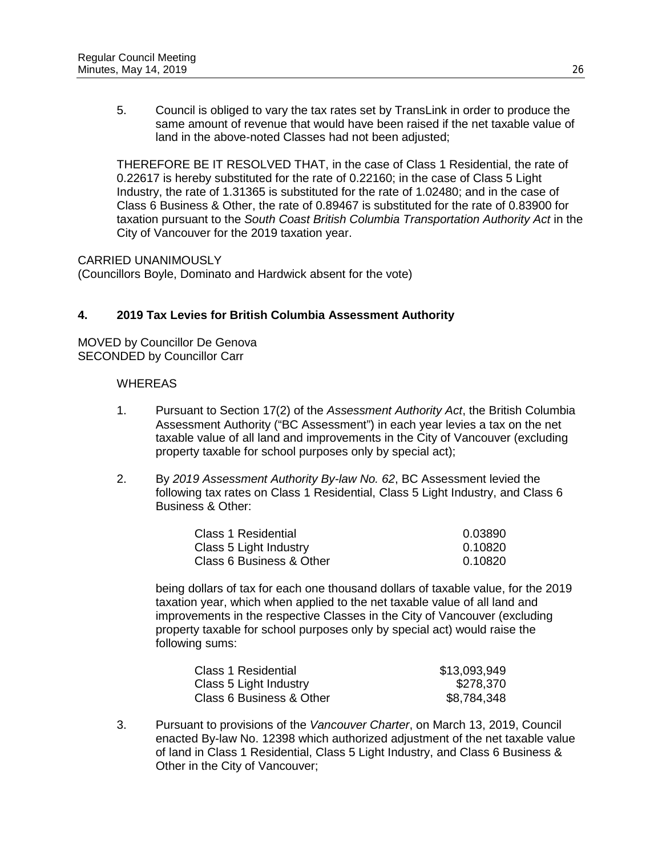5. Council is obliged to vary the tax rates set by TransLink in order to produce the same amount of revenue that would have been raised if the net taxable value of land in the above-noted Classes had not been adjusted;

THEREFORE BE IT RESOLVED THAT, in the case of Class 1 Residential, the rate of 0.22617 is hereby substituted for the rate of 0.22160; in the case of Class 5 Light Industry, the rate of 1.31365 is substituted for the rate of 1.02480; and in the case of Class 6 Business & Other, the rate of 0.89467 is substituted for the rate of 0.83900 for taxation pursuant to the *South Coast British Columbia Transportation Authority Act* in the City of Vancouver for the 2019 taxation year.

CARRIED UNANIMOUSLY

(Councillors Boyle, Dominato and Hardwick absent for the vote)

## **4. 2019 Tax Levies for British Columbia Assessment Authority**

MOVED by Councillor De Genova SECONDED by Councillor Carr

#### **WHEREAS**

- 1. Pursuant to Section 17(2) of the *Assessment Authority Act*, the British Columbia Assessment Authority ("BC Assessment") in each year levies a tax on the net taxable value of all land and improvements in the City of Vancouver (excluding property taxable for school purposes only by special act);
- 2. By *2019 Assessment Authority By-law No. 62*, BC Assessment levied the following tax rates on Class 1 Residential, Class 5 Light Industry, and Class 6 Business & Other:

| Class 1 Residential      | 0.03890 |
|--------------------------|---------|
| Class 5 Light Industry   | 0.10820 |
| Class 6 Business & Other | 0.10820 |

being dollars of tax for each one thousand dollars of taxable value, for the 2019 taxation year, which when applied to the net taxable value of all land and improvements in the respective Classes in the City of Vancouver (excluding property taxable for school purposes only by special act) would raise the following sums:

| Class 1 Residential      | \$13,093,949 |
|--------------------------|--------------|
| Class 5 Light Industry   | \$278,370    |
| Class 6 Business & Other | \$8,784,348  |

3. Pursuant to provisions of the *Vancouver Charter*, on March 13, 2019, Council enacted By-law No. 12398 which authorized adjustment of the net taxable value of land in Class 1 Residential, Class 5 Light Industry, and Class 6 Business & Other in the City of Vancouver;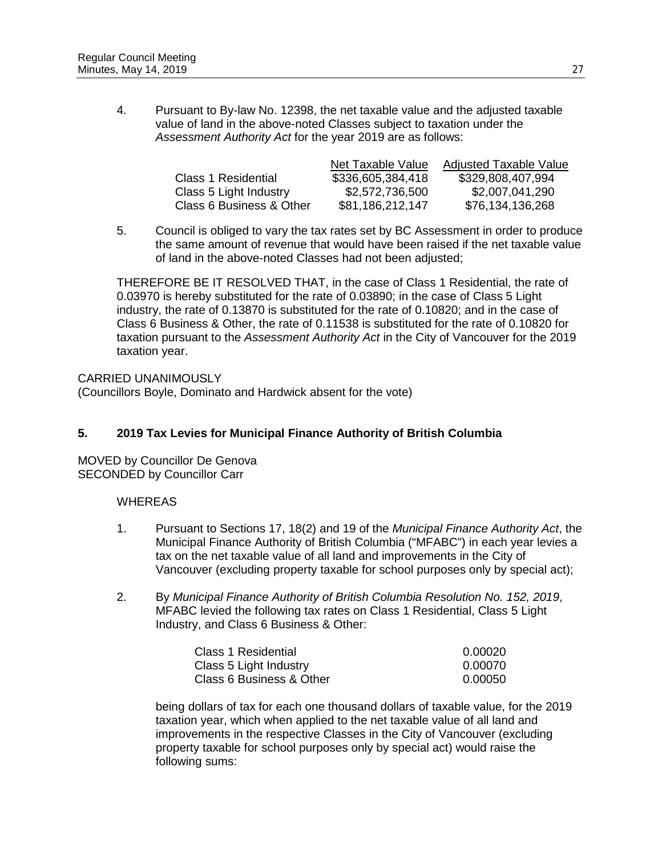4. Pursuant to By-law No. 12398, the net taxable value and the adjusted taxable value of land in the above-noted Classes subject to taxation under the *Assessment Authority Act* for the year 2019 are as follows:

|                          | Net Taxable Value | <b>Adjusted Taxable Value</b> |
|--------------------------|-------------------|-------------------------------|
| Class 1 Residential      | \$336,605,384,418 | \$329,808,407,994             |
| Class 5 Light Industry   | \$2,572,736,500   | \$2,007,041,290               |
| Class 6 Business & Other | \$81,186,212,147  | \$76,134,136,268              |

5. Council is obliged to vary the tax rates set by BC Assessment in order to produce the same amount of revenue that would have been raised if the net taxable value of land in the above-noted Classes had not been adjusted;

THEREFORE BE IT RESOLVED THAT, in the case of Class 1 Residential, the rate of 0.03970 is hereby substituted for the rate of 0.03890; in the case of Class 5 Light industry, the rate of 0.13870 is substituted for the rate of 0.10820; and in the case of Class 6 Business & Other, the rate of 0.11538 is substituted for the rate of 0.10820 for taxation pursuant to the *Assessment Authority Act* in the City of Vancouver for the 2019 taxation year.

CARRIED UNANIMOUSLY (Councillors Boyle, Dominato and Hardwick absent for the vote)

## **5. 2019 Tax Levies for Municipal Finance Authority of British Columbia**

MOVED by Councillor De Genova SECONDED by Councillor Carr

#### **WHEREAS**

- 1. Pursuant to Sections 17, 18(2) and 19 of the *Municipal Finance Authority Act*, the Municipal Finance Authority of British Columbia ("MFABC") in each year levies a tax on the net taxable value of all land and improvements in the City of Vancouver (excluding property taxable for school purposes only by special act);
- 2. By *Municipal Finance Authority of British Columbia Resolution No. 152, 2019*, MFABC levied the following tax rates on Class 1 Residential, Class 5 Light Industry, and Class 6 Business & Other:

| <b>Class 1 Residential</b> | 0.00020 |
|----------------------------|---------|
| Class 5 Light Industry     | 0.00070 |
| Class 6 Business & Other   | 0.00050 |

being dollars of tax for each one thousand dollars of taxable value, for the 2019 taxation year, which when applied to the net taxable value of all land and improvements in the respective Classes in the City of Vancouver (excluding property taxable for school purposes only by special act) would raise the following sums: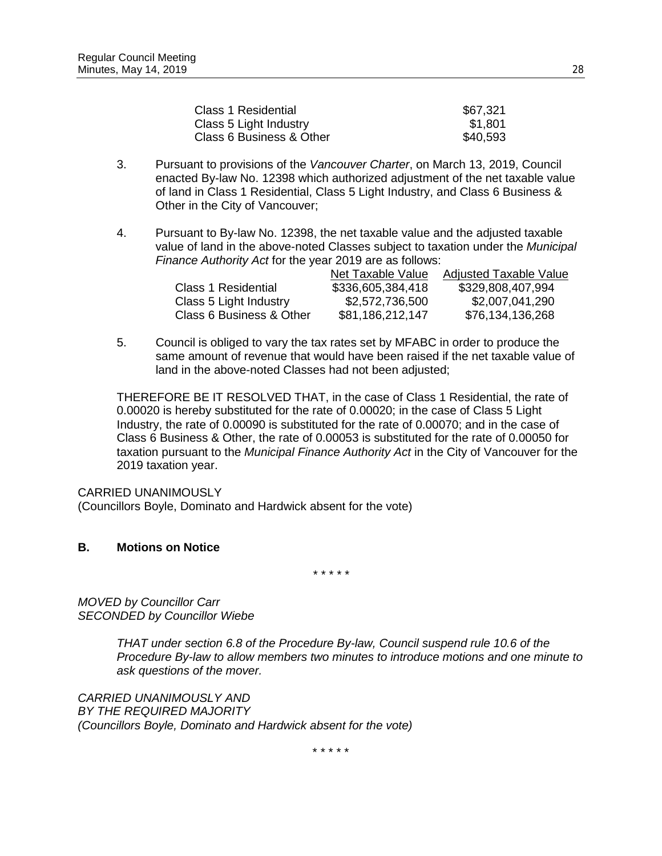| \$67,321 |
|----------|
| \$1,801  |
| \$40,593 |
|          |

- 3. Pursuant to provisions of the *Vancouver Charter*, on March 13, 2019, Council enacted By-law No. 12398 which authorized adjustment of the net taxable value of land in Class 1 Residential, Class 5 Light Industry, and Class 6 Business & Other in the City of Vancouver;
- 4. Pursuant to By-law No. 12398, the net taxable value and the adjusted taxable value of land in the above-noted Classes subject to taxation under the *Municipal Finance Authority Act* for the year 2019 are as follows:

|                          | Net Taxable Value | <b>Adjusted Taxable Value</b> |
|--------------------------|-------------------|-------------------------------|
| Class 1 Residential      | \$336,605,384,418 | \$329,808,407,994             |
| Class 5 Light Industry   | \$2,572,736,500   | \$2,007,041,290               |
| Class 6 Business & Other | \$81,186,212,147  | \$76,134,136,268              |

5. Council is obliged to vary the tax rates set by MFABC in order to produce the same amount of revenue that would have been raised if the net taxable value of land in the above-noted Classes had not been adjusted;

THEREFORE BE IT RESOLVED THAT, in the case of Class 1 Residential, the rate of 0.00020 is hereby substituted for the rate of 0.00020; in the case of Class 5 Light Industry, the rate of 0.00090 is substituted for the rate of 0.00070; and in the case of Class 6 Business & Other, the rate of 0.00053 is substituted for the rate of 0.00050 for taxation pursuant to the *Municipal Finance Authority Act* in the City of Vancouver for the 2019 taxation year.

CARRIED UNANIMOUSLY

(Councillors Boyle, Dominato and Hardwick absent for the vote)

#### **B. Motions on Notice**

*\* \* \* \* \**

*MOVED by Councillor Carr SECONDED by Councillor Wiebe*

> *THAT under section 6.8 of the Procedure By-law, Council suspend rule 10.6 of the Procedure By-law to allow members two minutes to introduce motions and one minute to ask questions of the mover.*

*CARRIED UNANIMOUSLY AND BY THE REQUIRED MAJORITY (Councillors Boyle, Dominato and Hardwick absent for the vote)*

\* \* \* \* \*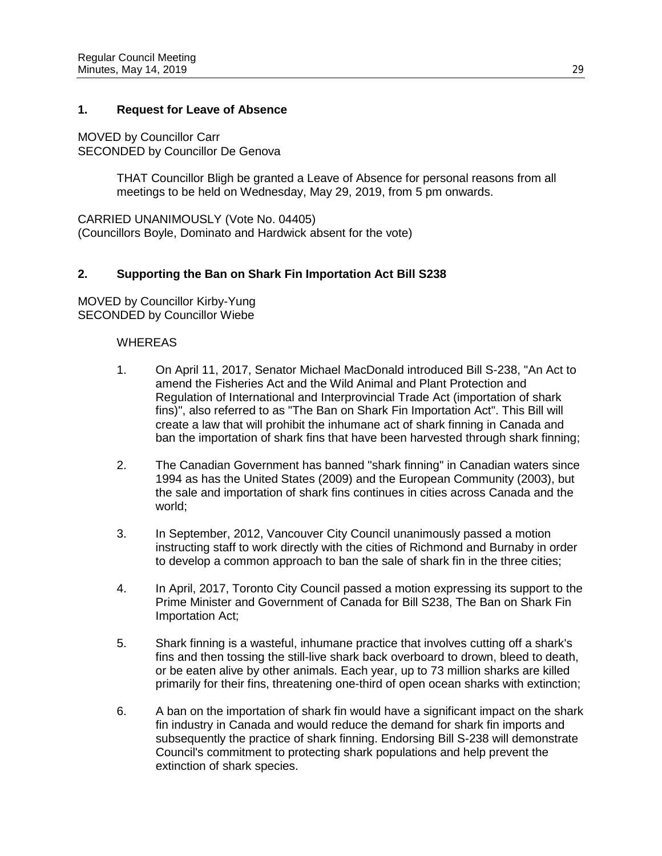### **1. Request for Leave of Absence**

MOVED by Councillor Carr SECONDED by Councillor De Genova

> THAT Councillor Bligh be granted a Leave of Absence for personal reasons from all meetings to be held on Wednesday, May 29, 2019, from 5 pm onwards.

CARRIED UNANIMOUSLY (Vote No. 04405) (Councillors Boyle, Dominato and Hardwick absent for the vote)

### **2. Supporting the Ban on Shark Fin Importation Act Bill S238**

MOVED by Councillor Kirby-Yung SECONDED by Councillor Wiebe

- 1. On April 11, 2017, Senator Michael MacDonald introduced Bill S-238, "An Act to amend the Fisheries Act and the Wild Animal and Plant Protection and Regulation of International and Interprovincial Trade Act (importation of shark fins)", also referred to as "The Ban on Shark Fin Importation Act". This Bill will create a law that will prohibit the inhumane act of shark finning in Canada and ban the importation of shark fins that have been harvested through shark finning;
- 2. The Canadian Government has banned "shark finning" in Canadian waters since 1994 as has the United States (2009) and the European Community (2003), but the sale and importation of shark fins continues in cities across Canada and the world;
- 3. In September, 2012, Vancouver City Council unanimously passed a motion instructing staff to work directly with the cities of Richmond and Burnaby in order to develop a common approach to ban the sale of shark fin in the three cities;
- 4. In April, 2017, Toronto City Council passed a motion expressing its support to the Prime Minister and Government of Canada for Bill S238, The Ban on Shark Fin Importation Act;
- 5. Shark finning is a wasteful, inhumane practice that involves cutting off a shark's fins and then tossing the still-live shark back overboard to drown, bleed to death, or be eaten alive by other animals. Each year, up to 73 million sharks are killed primarily for their fins, threatening one-third of open ocean sharks with extinction;
- 6. A ban on the importation of shark fin would have a significant impact on the shark fin industry in Canada and would reduce the demand for shark fin imports and subsequently the practice of shark finning. Endorsing Bill S-238 will demonstrate Council's commitment to protecting shark populations and help prevent the extinction of shark species.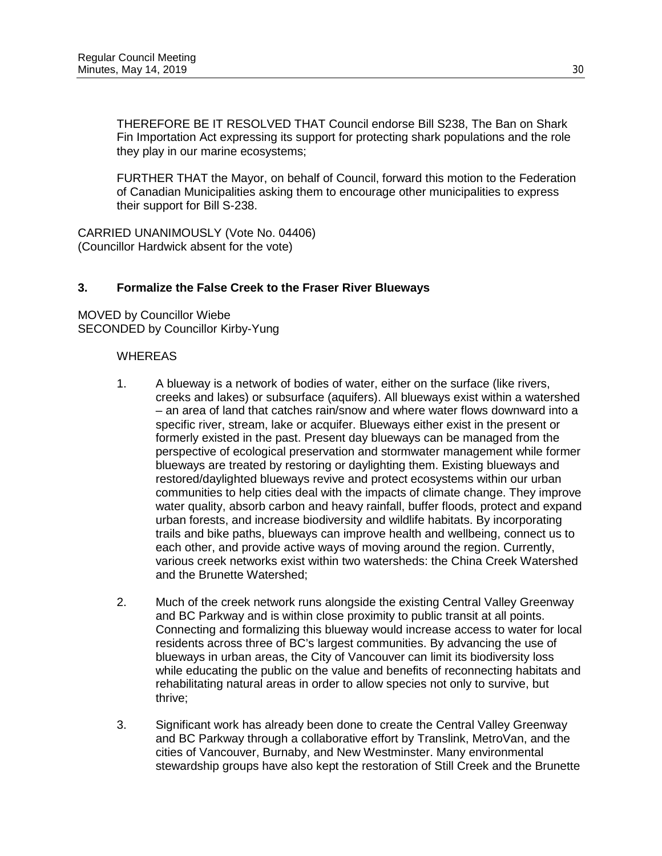THEREFORE BE IT RESOLVED THAT Council endorse Bill S238, The Ban on Shark Fin Importation Act expressing its support for protecting shark populations and the role they play in our marine ecosystems;

FURTHER THAT the Mayor, on behalf of Council, forward this motion to the Federation of Canadian Municipalities asking them to encourage other municipalities to express their support for Bill S-238.

CARRIED UNANIMOUSLY (Vote No. 04406) (Councillor Hardwick absent for the vote)

#### **3. Formalize the False Creek to the Fraser River Blueways**

MOVED by Councillor Wiebe SECONDED by Councillor Kirby-Yung

- 1. A blueway is a network of bodies of water, either on the surface (like rivers, creeks and lakes) or subsurface (aquifers). All blueways exist within a watershed – an area of land that catches rain/snow and where water flows downward into a specific river, stream, lake or acquifer. Blueways either exist in the present or formerly existed in the past. Present day blueways can be managed from the perspective of ecological preservation and stormwater management while former blueways are treated by restoring or daylighting them. Existing blueways and restored/daylighted blueways revive and protect ecosystems within our urban communities to help cities deal with the impacts of climate change. They improve water quality, absorb carbon and heavy rainfall, buffer floods, protect and expand urban forests, and increase biodiversity and wildlife habitats. By incorporating trails and bike paths, blueways can improve health and wellbeing, connect us to each other, and provide active ways of moving around the region. Currently, various creek networks exist within two watersheds: the China Creek Watershed and the Brunette Watershed;
- 2. Much of the creek network runs alongside the existing Central Valley Greenway and BC Parkway and is within close proximity to public transit at all points. Connecting and formalizing this blueway would increase access to water for local residents across three of BC's largest communities. By advancing the use of blueways in urban areas, the City of Vancouver can limit its biodiversity loss while educating the public on the value and benefits of reconnecting habitats and rehabilitating natural areas in order to allow species not only to survive, but thrive;
- 3. Significant work has already been done to create the Central Valley Greenway and BC Parkway through a collaborative effort by Translink, MetroVan, and the cities of Vancouver, Burnaby, and New Westminster. Many environmental stewardship groups have also kept the restoration of Still Creek and the Brunette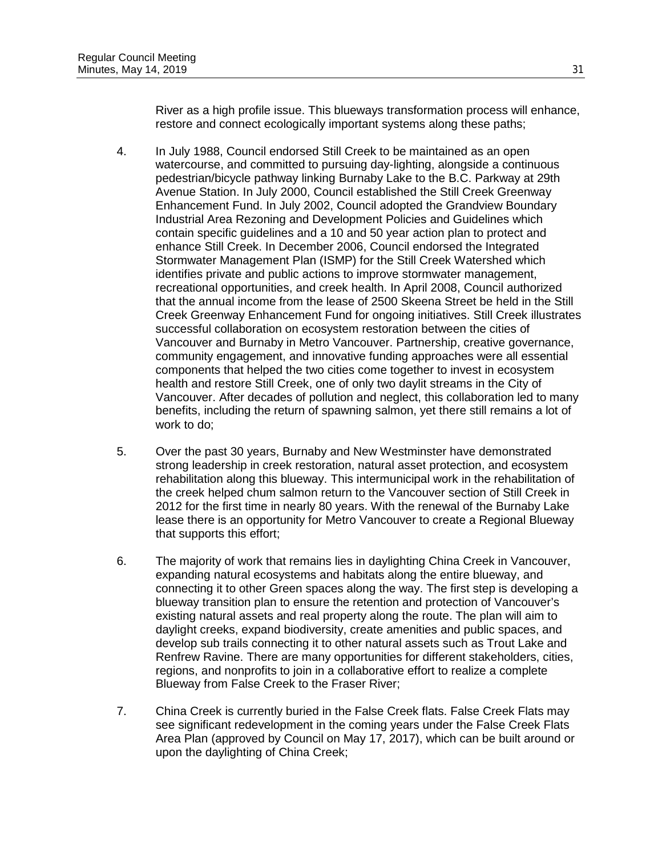River as a high profile issue. This blueways transformation process will enhance, restore and connect ecologically important systems along these paths;

- 4. In July 1988, Council endorsed Still Creek to be maintained as an open watercourse, and committed to pursuing day-lighting, alongside a continuous pedestrian/bicycle pathway linking Burnaby Lake to the B.C. Parkway at 29th Avenue Station. In July 2000, Council established the Still Creek Greenway Enhancement Fund. In July 2002, Council adopted the Grandview Boundary Industrial Area Rezoning and Development Policies and Guidelines which contain specific guidelines and a 10 and 50 year action plan to protect and enhance Still Creek. In December 2006, Council endorsed the Integrated Stormwater Management Plan (ISMP) for the Still Creek Watershed which identifies private and public actions to improve stormwater management, recreational opportunities, and creek health. In April 2008, Council authorized that the annual income from the lease of 2500 Skeena Street be held in the Still Creek Greenway Enhancement Fund for ongoing initiatives. Still Creek illustrates successful collaboration on ecosystem restoration between the cities of Vancouver and Burnaby in Metro Vancouver. Partnership, creative governance, community engagement, and innovative funding approaches were all essential components that helped the two cities come together to invest in ecosystem health and restore Still Creek, one of only two daylit streams in the City of Vancouver. After decades of pollution and neglect, this collaboration led to many benefits, including the return of spawning salmon, yet there still remains a lot of work to do;
- 5. Over the past 30 years, Burnaby and New Westminster have demonstrated strong leadership in creek restoration, natural asset protection, and ecosystem rehabilitation along this blueway. This intermunicipal work in the rehabilitation of the creek helped chum salmon return to the Vancouver section of Still Creek in 2012 for the first time in nearly 80 years. With the renewal of the Burnaby Lake lease there is an opportunity for Metro Vancouver to create a Regional Blueway that supports this effort;
- 6. The majority of work that remains lies in daylighting China Creek in Vancouver, expanding natural ecosystems and habitats along the entire blueway, and connecting it to other Green spaces along the way. The first step is developing a blueway transition plan to ensure the retention and protection of Vancouver's existing natural assets and real property along the route. The plan will aim to daylight creeks, expand biodiversity, create amenities and public spaces, and develop sub trails connecting it to other natural assets such as Trout Lake and Renfrew Ravine. There are many opportunities for different stakeholders, cities, regions, and nonprofits to join in a collaborative effort to realize a complete Blueway from False Creek to the Fraser River;
- 7. China Creek is currently buried in the False Creek flats. False Creek Flats may see significant redevelopment in the coming years under the False Creek Flats Area Plan (approved by Council on May 17, 2017), which can be built around or upon the daylighting of China Creek;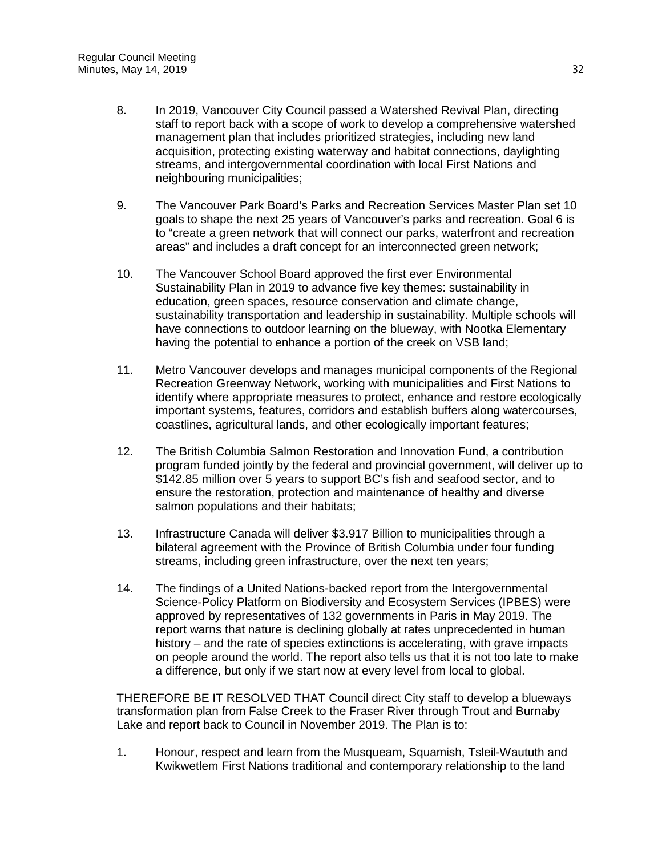- 8. In 2019, Vancouver City Council passed a Watershed Revival Plan, directing staff to report back with a scope of work to develop a comprehensive watershed management plan that includes prioritized strategies, including new land acquisition, protecting existing waterway and habitat connections, daylighting streams, and intergovernmental coordination with local First Nations and neighbouring municipalities;
- 9. The Vancouver Park Board's Parks and Recreation Services Master Plan set 10 goals to shape the next 25 years of Vancouver's parks and recreation. Goal 6 is to "create a green network that will connect our parks, waterfront and recreation areas" and includes a draft concept for an interconnected green network;
- 10. The Vancouver School Board approved the first ever Environmental Sustainability Plan in 2019 to advance five key themes: sustainability in education, green spaces, resource conservation and climate change, sustainability transportation and leadership in sustainability. Multiple schools will have connections to outdoor learning on the blueway, with Nootka Elementary having the potential to enhance a portion of the creek on VSB land;
- 11. Metro Vancouver develops and manages municipal components of the Regional Recreation Greenway Network, working with municipalities and First Nations to identify where appropriate measures to protect, enhance and restore ecologically important systems, features, corridors and establish buffers along watercourses, coastlines, agricultural lands, and other ecologically important features;
- 12. The British Columbia Salmon Restoration and Innovation Fund, a contribution program funded jointly by the federal and provincial government, will deliver up to \$142.85 million over 5 years to support BC's fish and seafood sector, and to ensure the restoration, protection and maintenance of healthy and diverse salmon populations and their habitats;
- 13. Infrastructure Canada will deliver \$3.917 Billion to municipalities through a bilateral agreement with the Province of British Columbia under four funding streams, including green infrastructure, over the next ten years;
- 14. The findings of a United Nations-backed report from the Intergovernmental Science-Policy Platform on Biodiversity and Ecosystem Services (IPBES) were approved by representatives of 132 governments in Paris in May 2019. The report warns that nature is declining globally at rates unprecedented in human history – and the rate of species extinctions is accelerating, with grave impacts on people around the world. The report also tells us that it is not too late to make a difference, but only if we start now at every level from local to global.

THEREFORE BE IT RESOLVED THAT Council direct City staff to develop a blueways transformation plan from False Creek to the Fraser River through Trout and Burnaby Lake and report back to Council in November 2019. The Plan is to:

1. Honour, respect and learn from the Musqueam, Squamish, Tsleil-Waututh and Kwikwetlem First Nations traditional and contemporary relationship to the land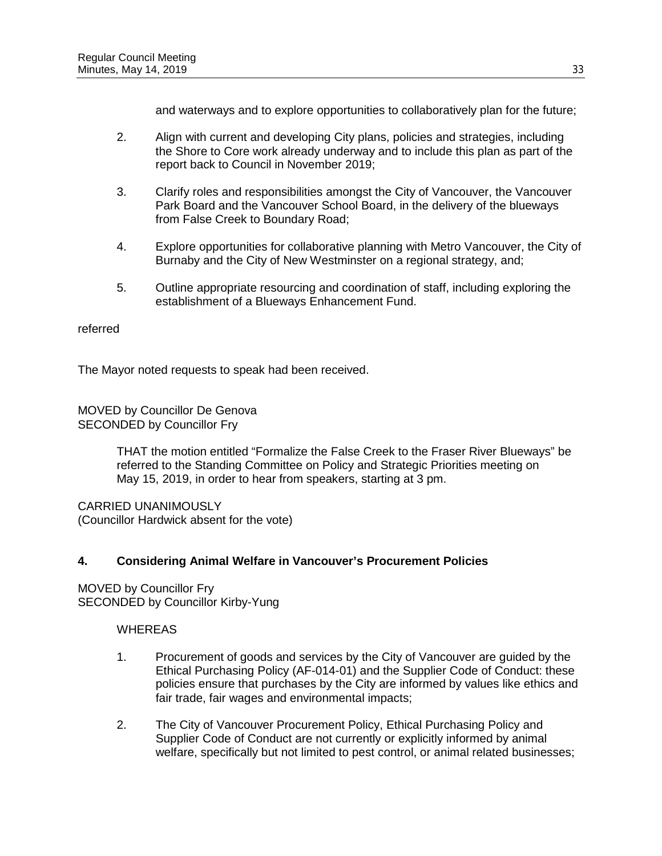and waterways and to explore opportunities to collaboratively plan for the future;

- 2. Align with current and developing City plans, policies and strategies, including the Shore to Core work already underway and to include this plan as part of the report back to Council in November 2019;
- 3. Clarify roles and responsibilities amongst the City of Vancouver, the Vancouver Park Board and the Vancouver School Board, in the delivery of the blueways from False Creek to Boundary Road;
- 4. Explore opportunities for collaborative planning with Metro Vancouver, the City of Burnaby and the City of New Westminster on a regional strategy, and;
- 5. Outline appropriate resourcing and coordination of staff, including exploring the establishment of a Blueways Enhancement Fund.

### referred

The Mayor noted requests to speak had been received.

MOVED by Councillor De Genova SECONDED by Councillor Fry

> THAT the motion entitled "Formalize the False Creek to the Fraser River Blueways" be referred to the Standing Committee on Policy and Strategic Priorities meeting on May 15, 2019, in order to hear from speakers, starting at 3 pm.

CARRIED UNANIMOUSLY (Councillor Hardwick absent for the vote)

## **4. Considering Animal Welfare in Vancouver's Procurement Policies**

MOVED by Councillor Fry SECONDED by Councillor Kirby-Yung

- 1. Procurement of goods and services by the City of Vancouver are guided by the Ethical Purchasing Policy (AF-014-01) and the Supplier Code of Conduct: these policies ensure that purchases by the City are informed by values like ethics and fair trade, fair wages and environmental impacts;
- 2. The City of Vancouver Procurement Policy, Ethical Purchasing Policy and Supplier Code of Conduct are not currently or explicitly informed by animal welfare, specifically but not limited to pest control, or animal related businesses;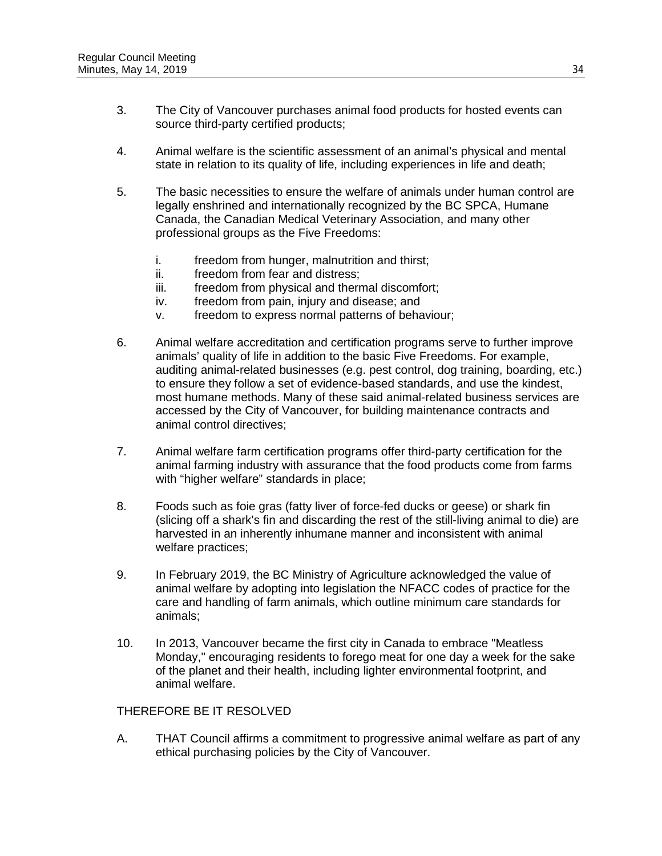- 3. The City of Vancouver purchases animal food products for hosted events can source third-party certified products;
- 4. Animal welfare is the scientific assessment of an animal's physical and mental state in relation to its quality of life, including experiences in life and death;
- 5. The basic necessities to ensure the welfare of animals under human control are legally enshrined and internationally recognized by the BC SPCA, Humane Canada, the Canadian Medical Veterinary Association, and many other professional groups as the Five Freedoms:
	- i. freedom from hunger, malnutrition and thirst;
	- ii. freedom from fear and distress;
	- iii. freedom from physical and thermal discomfort;
	- iv. freedom from pain, injury and disease; and
	- v. freedom to express normal patterns of behaviour;
- 6. Animal welfare accreditation and certification programs serve to further improve animals' quality of life in addition to the basic Five Freedoms. For example, auditing animal-related businesses (e.g. pest control, dog training, boarding, etc.) to ensure they follow a set of evidence-based standards, and use the kindest, most humane methods. Many of these said animal-related business services are accessed by the City of Vancouver, for building maintenance contracts and animal control directives;
- 7. Animal welfare farm certification programs offer third-party certification for the animal farming industry with assurance that the food products come from farms with "higher welfare" standards in place;
- 8. Foods such as foie gras (fatty liver of force-fed ducks or geese) or shark fin (slicing off a shark's fin and discarding the rest of the still-living animal to die) are harvested in an inherently inhumane manner and inconsistent with animal welfare practices;
- 9. In February 2019, the BC Ministry of Agriculture acknowledged the value of animal welfare by adopting into legislation the NFACC codes of practice for the care and handling of farm animals, which outline minimum care standards for animals;
- 10. In 2013, Vancouver became the first city in Canada to embrace "Meatless Monday," encouraging residents to forego meat for one day a week for the sake of the planet and their health, including lighter environmental footprint, and animal welfare.

#### THEREFORE BE IT RESOLVED

A. THAT Council affirms a commitment to progressive animal welfare as part of any ethical purchasing policies by the City of Vancouver.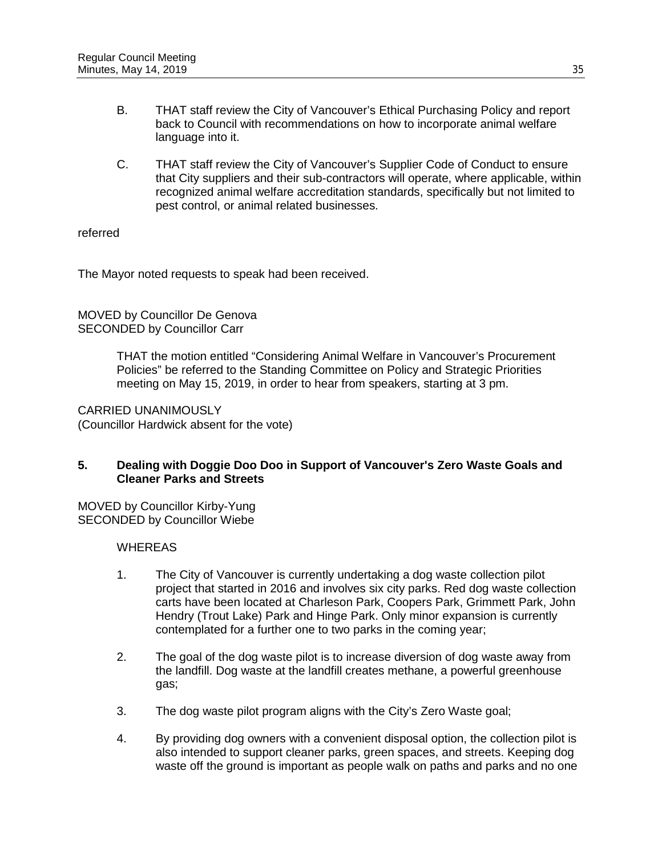- B. THAT staff review the City of Vancouver's Ethical Purchasing Policy and report back to Council with recommendations on how to incorporate animal welfare language into it.
- C. THAT staff review the City of Vancouver's Supplier Code of Conduct to ensure that City suppliers and their sub-contractors will operate, where applicable, within recognized animal welfare accreditation standards, specifically but not limited to pest control, or animal related businesses.

### referred

The Mayor noted requests to speak had been received.

MOVED by Councillor De Genova SECONDED by Councillor Carr

> THAT the motion entitled "Considering Animal Welfare in Vancouver's Procurement Policies" be referred to the Standing Committee on Policy and Strategic Priorities meeting on May 15, 2019, in order to hear from speakers, starting at 3 pm.

CARRIED UNANIMOUSLY (Councillor Hardwick absent for the vote)

### **5. Dealing with Doggie Doo Doo in Support of Vancouver's Zero Waste Goals and Cleaner Parks and Streets**

MOVED by Councillor Kirby-Yung SECONDED by Councillor Wiebe

- 1. The City of Vancouver is currently undertaking a dog waste collection pilot project that started in 2016 and involves six city parks. Red dog waste collection carts have been located at Charleson Park, Coopers Park, Grimmett Park, John Hendry (Trout Lake) Park and Hinge Park. Only minor expansion is currently contemplated for a further one to two parks in the coming year;
- 2. The goal of the dog waste pilot is to increase diversion of dog waste away from the landfill. Dog waste at the landfill creates methane, a powerful greenhouse gas;
- 3. The dog waste pilot program aligns with the City's Zero Waste goal;
- 4. By providing dog owners with a convenient disposal option, the collection pilot is also intended to support cleaner parks, green spaces, and streets. Keeping dog waste off the ground is important as people walk on paths and parks and no one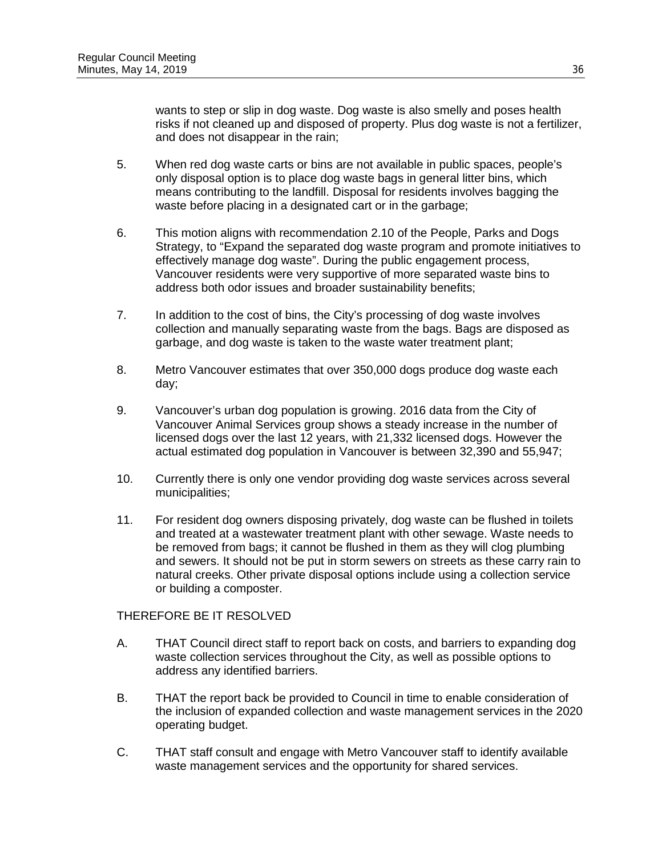wants to step or slip in dog waste. Dog waste is also smelly and poses health risks if not cleaned up and disposed of property. Plus dog waste is not a fertilizer, and does not disappear in the rain;

- 5. When red dog waste carts or bins are not available in public spaces, people's only disposal option is to place dog waste bags in general litter bins, which means contributing to the landfill. Disposal for residents involves bagging the waste before placing in a designated cart or in the garbage;
- 6. This motion aligns with recommendation 2.10 of the People, Parks and Dogs Strategy, to "Expand the separated dog waste program and promote initiatives to effectively manage dog waste". During the public engagement process, Vancouver residents were very supportive of more separated waste bins to address both odor issues and broader sustainability benefits;
- 7. In addition to the cost of bins, the City's processing of dog waste involves collection and manually separating waste from the bags. Bags are disposed as garbage, and dog waste is taken to the waste water treatment plant;
- 8. Metro Vancouver estimates that over 350,000 dogs produce dog waste each day;
- 9. Vancouver's urban dog population is growing. 2016 data from the City of Vancouver Animal Services group shows a steady increase in the number of licensed dogs over the last 12 years, with 21,332 licensed dogs. However the actual estimated dog population in Vancouver is between 32,390 and 55,947;
- 10. Currently there is only one vendor providing dog waste services across several municipalities;
- 11. For resident dog owners disposing privately, dog waste can be flushed in toilets and treated at a wastewater treatment plant with other sewage. Waste needs to be removed from bags; it cannot be flushed in them as they will clog plumbing and sewers. It should not be put in storm sewers on streets as these carry rain to natural creeks. Other private disposal options include using a collection service or building a composter.

## THEREFORE BE IT RESOLVED

- A. THAT Council direct staff to report back on costs, and barriers to expanding dog waste collection services throughout the City, as well as possible options to address any identified barriers.
- B. THAT the report back be provided to Council in time to enable consideration of the inclusion of expanded collection and waste management services in the 2020 operating budget.
- C. THAT staff consult and engage with Metro Vancouver staff to identify available waste management services and the opportunity for shared services.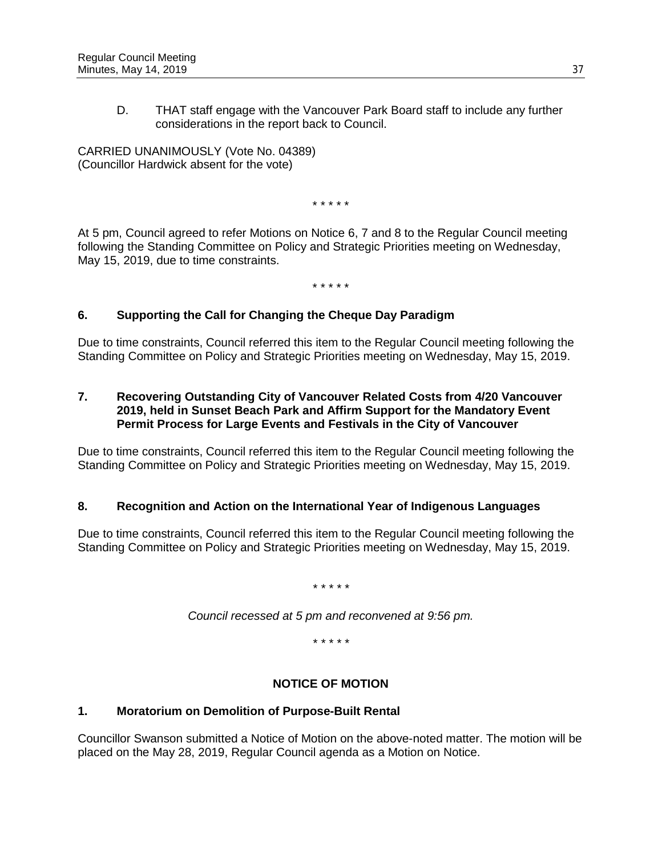D. THAT staff engage with the Vancouver Park Board staff to include any further considerations in the report back to Council.

CARRIED UNANIMOUSLY (Vote No. 04389) (Councillor Hardwick absent for the vote)

\* \* \* \* \*

At 5 pm, Council agreed to refer Motions on Notice 6, 7 and 8 to the Regular Council meeting following the Standing Committee on Policy and Strategic Priorities meeting on Wednesday, May 15, 2019, due to time constraints.

\* \* \* \* \*

# **6. Supporting the Call for Changing the Cheque Day Paradigm**

Due to time constraints, Council referred this item to the Regular Council meeting following the Standing Committee on Policy and Strategic Priorities meeting on Wednesday, May 15, 2019.

### **7. Recovering Outstanding City of Vancouver Related Costs from 4/20 Vancouver 2019, held in Sunset Beach Park and Affirm Support for the Mandatory Event Permit Process for Large Events and Festivals in the City of Vancouver**

Due to time constraints, Council referred this item to the Regular Council meeting following the Standing Committee on Policy and Strategic Priorities meeting on Wednesday, May 15, 2019.

## **8. Recognition and Action on the International Year of Indigenous Languages**

Due to time constraints, Council referred this item to the Regular Council meeting following the Standing Committee on Policy and Strategic Priorities meeting on Wednesday, May 15, 2019.

*\* \* \* \* \**

*Council recessed at 5 pm and reconvened at 9:56 pm.*

*\* \* \* \* \**

## **NOTICE OF MOTION**

#### **1. Moratorium on Demolition of Purpose-Built Rental**

Councillor Swanson submitted a Notice of Motion on the above-noted matter. The motion will be placed on the May 28, 2019, Regular Council agenda as a Motion on Notice.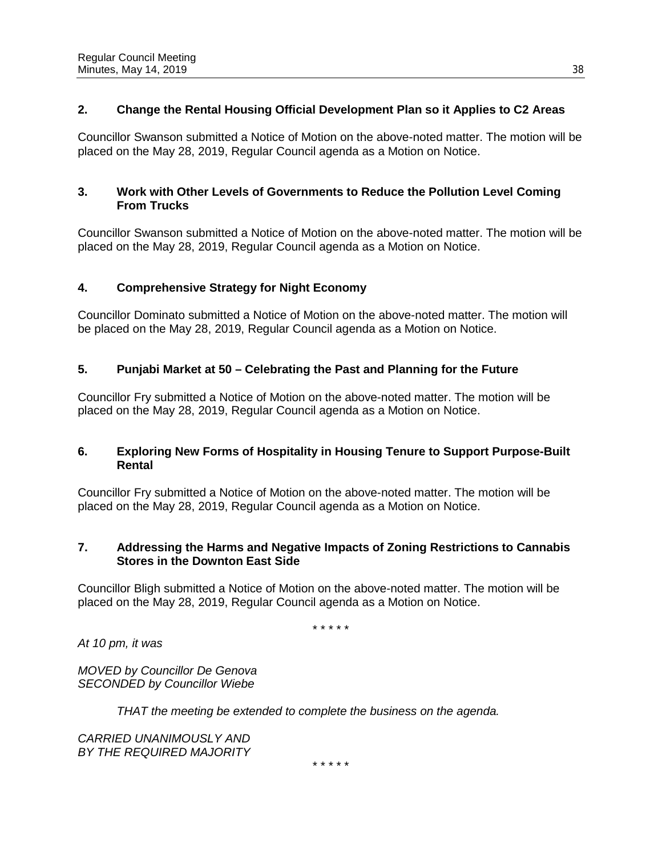# **2. Change the Rental Housing Official Development Plan so it Applies to C2 Areas**

Councillor Swanson submitted a Notice of Motion on the above-noted matter. The motion will be placed on the May 28, 2019, Regular Council agenda as a Motion on Notice.

## **3. Work with Other Levels of Governments to Reduce the Pollution Level Coming From Trucks**

Councillor Swanson submitted a Notice of Motion on the above-noted matter. The motion will be placed on the May 28, 2019, Regular Council agenda as a Motion on Notice.

# **4. Comprehensive Strategy for Night Economy**

Councillor Dominato submitted a Notice of Motion on the above-noted matter. The motion will be placed on the May 28, 2019, Regular Council agenda as a Motion on Notice.

# **5. Punjabi Market at 50 – Celebrating the Past and Planning for the Future**

Councillor Fry submitted a Notice of Motion on the above-noted matter. The motion will be placed on the May 28, 2019, Regular Council agenda as a Motion on Notice.

## **6. Exploring New Forms of Hospitality in Housing Tenure to Support Purpose-Built Rental**

Councillor Fry submitted a Notice of Motion on the above-noted matter. The motion will be placed on the May 28, 2019, Regular Council agenda as a Motion on Notice.

## **7. Addressing the Harms and Negative Impacts of Zoning Restrictions to Cannabis Stores in the Downton East Side**

Councillor Bligh submitted a Notice of Motion on the above-noted matter. The motion will be placed on the May 28, 2019, Regular Council agenda as a Motion on Notice.

\* \* \* \* \*

*At 10 pm, it was*

*MOVED by Councillor De Genova SECONDED by Councillor Wiebe*

*THAT the meeting be extended to complete the business on the agenda.*

*CARRIED UNANIMOUSLY AND BY THE REQUIRED MAJORITY*

\* \* \* \* \*